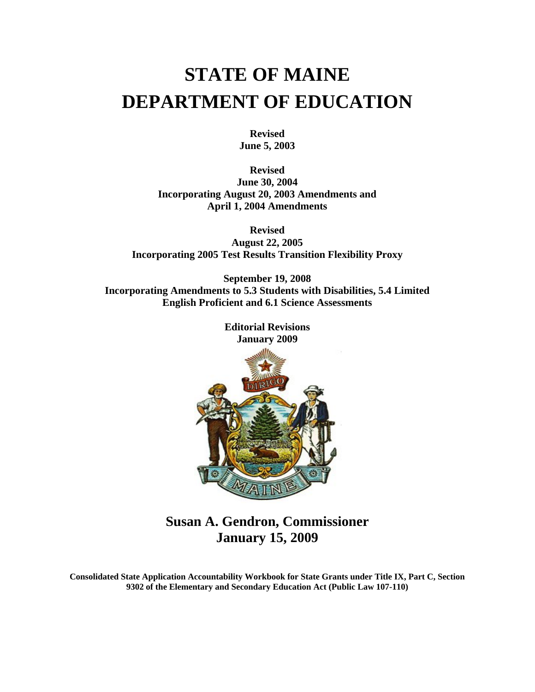# **STATE OF MAINE DEPARTMENT OF EDUCATION**

**Revised June 5, 2003** 

**Revised June 30, 2004 Incorporating August 20, 2003 Amendments and April 1, 2004 Amendments** 

**Revised August 22, 2005 Incorporating 2005 Test Results Transition Flexibility Proxy** 

**September 19, 2008 Incorporating Amendments to 5.3 Students with Disabilities, 5.4 Limited English Proficient and 6.1 Science Assessments** 

> **Editorial Revisions January 2009**



**Susan A. Gendron, Commissioner January 15, 2009** 

**Consolidated State Application Accountability Workbook for State Grants under Title IX, Part C, Section 9302 of the Elementary and Secondary Education Act (Public Law 107-110)**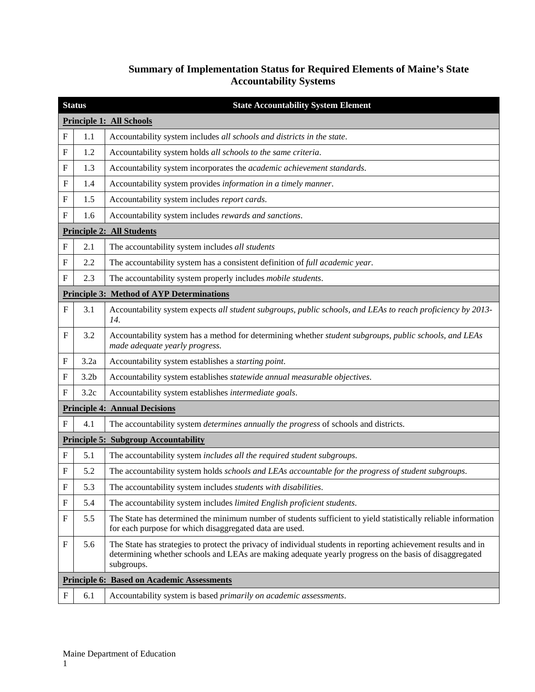# **Summary of Implementation Status for Required Elements of Maine's State Accountability Systems**

|             | <b>Status</b>                                     | <b>State Accountability System Element</b>                                                                                                                                                                                             |  |  |
|-------------|---------------------------------------------------|----------------------------------------------------------------------------------------------------------------------------------------------------------------------------------------------------------------------------------------|--|--|
|             |                                                   | <b>Principle 1: All Schools</b>                                                                                                                                                                                                        |  |  |
| $\mathbf F$ | 1.1                                               | Accountability system includes all schools and districts in the state.                                                                                                                                                                 |  |  |
| $\mathbf F$ | 1.2                                               | Accountability system holds all schools to the same criteria.                                                                                                                                                                          |  |  |
| $\mathbf F$ | 1.3                                               | Accountability system incorporates the academic achievement standards.                                                                                                                                                                 |  |  |
| $_{\rm F}$  | 1.4                                               | Accountability system provides information in a timely manner.                                                                                                                                                                         |  |  |
| $\mathbf F$ | 1.5                                               | Accountability system includes report cards.                                                                                                                                                                                           |  |  |
| $\mathbf F$ | 1.6                                               | Accountability system includes rewards and sanctions.                                                                                                                                                                                  |  |  |
|             |                                                   | <b>Principle 2: All Students</b>                                                                                                                                                                                                       |  |  |
| $\mathbf F$ | 2.1                                               | The accountability system includes all students                                                                                                                                                                                        |  |  |
| $\mathbf F$ | 2.2                                               | The accountability system has a consistent definition of full academic year.                                                                                                                                                           |  |  |
| $\mathbf F$ | 2.3                                               | The accountability system properly includes mobile students.                                                                                                                                                                           |  |  |
|             |                                                   | <b>Principle 3: Method of AYP Determinations</b>                                                                                                                                                                                       |  |  |
| $\mathbf F$ | 3.1                                               | Accountability system expects all student subgroups, public schools, and LEAs to reach proficiency by 2013-<br>14.                                                                                                                     |  |  |
| $_{\rm F}$  | 3.2                                               | Accountability system has a method for determining whether student subgroups, public schools, and LEAs<br>made adequate yearly progress.                                                                                               |  |  |
| F           | 3.2a                                              | Accountability system establishes a starting point.                                                                                                                                                                                    |  |  |
| $\mathbf F$ | 3.2 <sub>b</sub>                                  | Accountability system establishes statewide annual measurable objectives.                                                                                                                                                              |  |  |
| $\mathbf F$ | 3.2c                                              | Accountability system establishes intermediate goals.                                                                                                                                                                                  |  |  |
|             |                                                   | <b>Principle 4: Annual Decisions</b>                                                                                                                                                                                                   |  |  |
| F           | 4.1                                               | The accountability system determines annually the progress of schools and districts.                                                                                                                                                   |  |  |
|             |                                                   | <b>Principle 5: Subgroup Accountability</b>                                                                                                                                                                                            |  |  |
| F           | 5.1                                               | The accountability system includes all the required student subgroups.                                                                                                                                                                 |  |  |
| $\mathbf F$ | 5.2                                               | The accountability system holds schools and LEAs accountable for the progress of student subgroups.                                                                                                                                    |  |  |
| $\mathbf F$ | 5.3                                               | The accountability system includes students with disabilities.                                                                                                                                                                         |  |  |
| F           | 5.4                                               | The accountability system includes limited English proficient students.                                                                                                                                                                |  |  |
| F           | 5.5                                               | The State has determined the minimum number of students sufficient to yield statistically reliable information<br>for each purpose for which disaggregated data are used.                                                              |  |  |
| F           | 5.6                                               | The State has strategies to protect the privacy of individual students in reporting achievement results and in<br>determining whether schools and LEAs are making adequate yearly progress on the basis of disaggregated<br>subgroups. |  |  |
|             | <b>Principle 6: Based on Academic Assessments</b> |                                                                                                                                                                                                                                        |  |  |
| $\mathbf F$ | 6.1                                               | Accountability system is based primarily on academic assessments.                                                                                                                                                                      |  |  |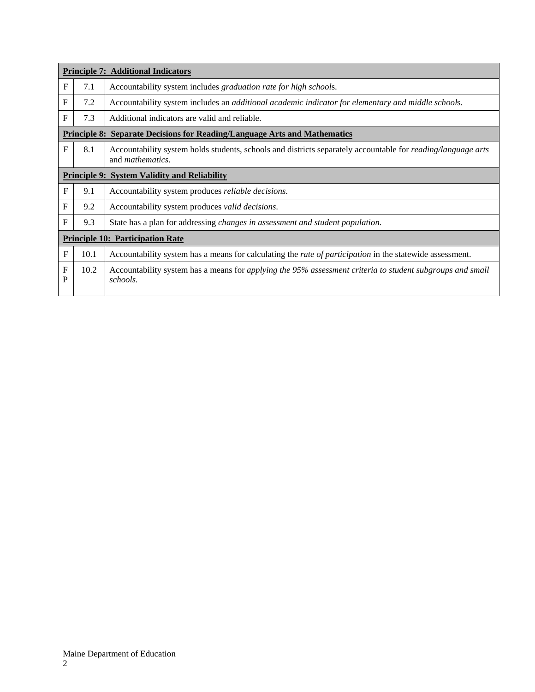|                   | <b>Principle 7: Additional Indicators</b>                                        |                                                                                                                                                 |  |  |
|-------------------|----------------------------------------------------------------------------------|-------------------------------------------------------------------------------------------------------------------------------------------------|--|--|
| $\mathbf{F}$      | 7.1                                                                              | Accountability system includes <i>graduation rate for high schools</i> .                                                                        |  |  |
| F                 | 7.2                                                                              | Accountability system includes an <i>additional academic indicator for elementary and middle schools</i> .                                      |  |  |
| F                 | 7.3                                                                              | Additional indicators are valid and reliable.                                                                                                   |  |  |
|                   | <b>Principle 8: Separate Decisions for Reading/Language Arts and Mathematics</b> |                                                                                                                                                 |  |  |
| F                 | 8.1                                                                              | Accountability system holds students, schools and districts separately accountable for <i>reading/language arts</i><br>and <i>mathematics</i> . |  |  |
|                   | <b>Principle 9: System Validity and Reliability</b>                              |                                                                                                                                                 |  |  |
| $\mathbf F$       | 9.1                                                                              | Accountability system produces <i>reliable decisions</i> .                                                                                      |  |  |
| $\mathbf{F}$      | 9.2                                                                              | Accountability system produces valid decisions.                                                                                                 |  |  |
| $\mathbf{F}$      | 9.3                                                                              | State has a plan for addressing <i>changes in assessment and student population</i> .                                                           |  |  |
|                   | <b>Principle 10: Participation Rate</b>                                          |                                                                                                                                                 |  |  |
| $\mathbf F$       | 10.1                                                                             | Accountability system has a means for calculating the <i>rate of participation</i> in the statewide assessment.                                 |  |  |
| $\mathbf{F}$<br>P | 10.2                                                                             | Accountability system has a means for applying the 95% assessment criteria to student subgroups and small<br>schools.                           |  |  |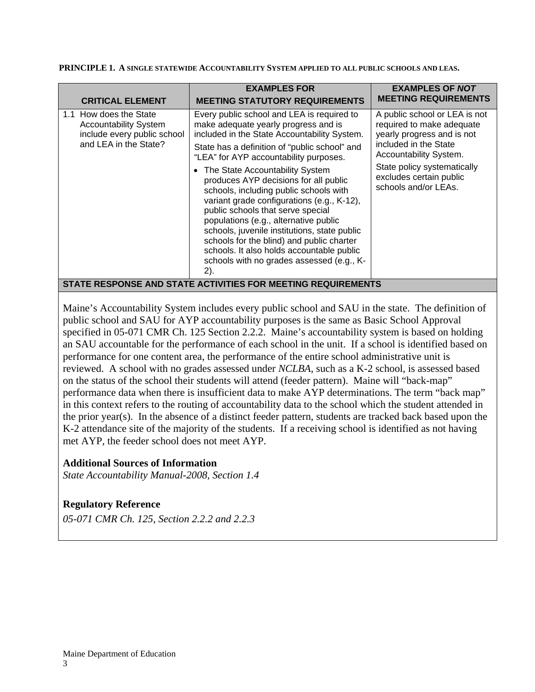**PRINCIPLE 1. A SINGLE STATEWIDE ACCOUNTABILITY SYSTEM APPLIED TO ALL PUBLIC SCHOOLS AND LEAS.**

| <b>CRITICAL ELEMENT</b>                                                                                        | <b>EXAMPLES FOR</b><br><b>MEETING STATUTORY REQUIREMENTS</b>                                                                                                                                                                                                                                                                                                                                                                                                                                                                                                                                                                                                                    | <b>EXAMPLES OF NOT</b><br><b>MEETING REQUIREMENTS</b>                                                                                                                                                                         |
|----------------------------------------------------------------------------------------------------------------|---------------------------------------------------------------------------------------------------------------------------------------------------------------------------------------------------------------------------------------------------------------------------------------------------------------------------------------------------------------------------------------------------------------------------------------------------------------------------------------------------------------------------------------------------------------------------------------------------------------------------------------------------------------------------------|-------------------------------------------------------------------------------------------------------------------------------------------------------------------------------------------------------------------------------|
| 1.1 How does the State<br><b>Accountability System</b><br>include every public school<br>and LEA in the State? | Every public school and LEA is required to<br>make adequate yearly progress and is<br>included in the State Accountability System.<br>State has a definition of "public school" and<br>"LEA" for AYP accountability purposes.<br>• The State Accountability System<br>produces AYP decisions for all public<br>schools, including public schools with<br>variant grade configurations (e.g., K-12),<br>public schools that serve special<br>populations (e.g., alternative public<br>schools, juvenile institutions, state public<br>schools for the blind) and public charter<br>schools. It also holds accountable public<br>schools with no grades assessed (e.g., K-<br>2). | A public school or LEA is not<br>required to make adequate<br>yearly progress and is not<br>included in the State<br>Accountability System.<br>State policy systematically<br>excludes certain public<br>schools and/or LEAs. |
|                                                                                                                | STATE RESPONSE AND STATE ACTIVITIES FOR MEETING REQUIREMENTS                                                                                                                                                                                                                                                                                                                                                                                                                                                                                                                                                                                                                    |                                                                                                                                                                                                                               |

Maine's Accountability System includes every public school and SAU in the state. The definition of public school and SAU for AYP accountability purposes is the same as Basic School Approval specified in 05-071 CMR Ch. 125 Section 2.2.2. Maine's accountability system is based on holding an SAU accountable for the performance of each school in the unit. If a school is identified based on performance for one content area, the performance of the entire school administrative unit is reviewed. A school with no grades assessed under *NCLBA*, such as a K-2 school, is assessed based on the status of the school their students will attend (feeder pattern). Maine will "back-map" performance data when there is insufficient data to make AYP determinations. The term "back map" in this context refers to the routing of accountability data to the school which the student attended in the prior year(s). In the absence of a distinct feeder pattern, students are tracked back based upon the K-2 attendance site of the majority of the students. If a receiving school is identified as not having met AYP, the feeder school does not meet AYP.

# **Additional Sources of Information**

*State Accountability Manual-2008, Section 1.4* 

# **Regulatory Reference**

*05-071 CMR Ch. 125, Section 2.2.2 and 2.2.3*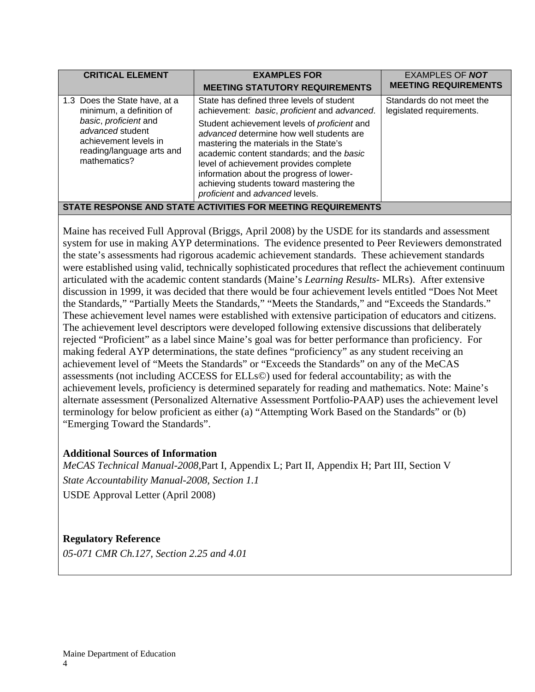| <b>CRITICAL ELEMENT</b>                                                                                                                                                      | <b>EXAMPLES FOR</b><br><b>MEETING STATUTORY REQUIREMENTS</b>                                                                                                                                                                                                                                                                                                                                                                                            | <b>EXAMPLES OF NOT</b><br><b>MEETING REQUIREMENTS</b> |  |
|------------------------------------------------------------------------------------------------------------------------------------------------------------------------------|---------------------------------------------------------------------------------------------------------------------------------------------------------------------------------------------------------------------------------------------------------------------------------------------------------------------------------------------------------------------------------------------------------------------------------------------------------|-------------------------------------------------------|--|
| 1.3 Does the State have, at a<br>minimum, a definition of<br>basic, proficient and<br>advanced student<br>achievement levels in<br>reading/language arts and<br>mathematics? | State has defined three levels of student<br>achievement: basic, proficient and advanced.<br>Student achievement levels of <i>proficient</i> and<br>advanced determine how well students are<br>mastering the materials in the State's<br>academic content standards; and the basic<br>level of achievement provides complete<br>information about the progress of lower-<br>achieving students toward mastering the<br>proficient and advanced levels. | Standards do not meet the<br>legislated requirements. |  |
| STATE RESPONSE AND STATE ACTIVITIES FOR MEETING REQUIREMENTS                                                                                                                 |                                                                                                                                                                                                                                                                                                                                                                                                                                                         |                                                       |  |

Maine has received Full Approval (Briggs, April 2008) by the USDE for its standards and assessment system for use in making AYP determinations. The evidence presented to Peer Reviewers demonstrated the state's assessments had rigorous academic achievement standards. These achievement standards were established using valid, technically sophisticated procedures that reflect the achievement continuum articulated with the academic content standards (Maine's *Learning Results*- MLRs). After extensive discussion in 1999, it was decided that there would be four achievement levels entitled "Does Not Meet the Standards," "Partially Meets the Standards," "Meets the Standards," and "Exceeds the Standards." These achievement level names were established with extensive participation of educators and citizens. The achievement level descriptors were developed following extensive discussions that deliberately rejected "Proficient" as a label since Maine's goal was for better performance than proficiency. For making federal AYP determinations, the state defines "proficiency" as any student receiving an achievement level of "Meets the Standards" or "Exceeds the Standards" on any of the MeCAS assessments (not including ACCESS for ELLs©) used for federal accountability; as with the achievement levels, proficiency is determined separately for reading and mathematics. Note: Maine's alternate assessment (Personalized Alternative Assessment Portfolio-PAAP) uses the achievement level terminology for below proficient as either (a) "Attempting Work Based on the Standards" or (b) "Emerging Toward the Standards".

# **Additional Sources of Information**

*MeCAS Technical Manual-2008*,Part I, Appendix L; Part II, Appendix H; Part III, Section V *State Accountability Manual-2008, Section 1.1*  USDE Approval Letter (April 2008)

# **Regulatory Reference**

*05-071 CMR Ch.127, Section 2.25 and 4.01*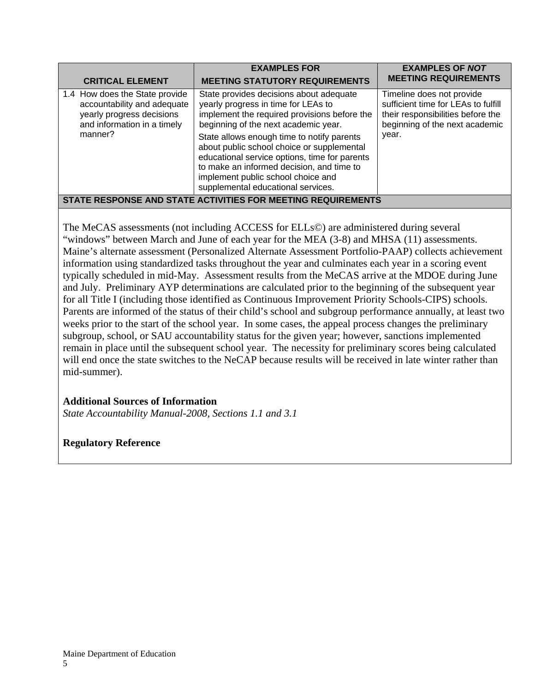| <b>CRITICAL ELEMENT</b>                                                                                                              | <b>EXAMPLES FOR</b><br><b>MEETING STATUTORY REQUIREMENTS</b>                                                                                                                                                                                                                                                                                                                                                                                 | <b>EXAMPLES OF NOT</b><br><b>MEETING REQUIREMENTS</b>                                                                                            |  |
|--------------------------------------------------------------------------------------------------------------------------------------|----------------------------------------------------------------------------------------------------------------------------------------------------------------------------------------------------------------------------------------------------------------------------------------------------------------------------------------------------------------------------------------------------------------------------------------------|--------------------------------------------------------------------------------------------------------------------------------------------------|--|
| 1.4 How does the State provide<br>accountability and adequate<br>yearly progress decisions<br>and information in a timely<br>manner? | State provides decisions about adequate<br>yearly progress in time for LEAs to<br>implement the required provisions before the<br>beginning of the next academic year.<br>State allows enough time to notify parents<br>about public school choice or supplemental<br>educational service options, time for parents<br>to make an informed decision, and time to<br>implement public school choice and<br>supplemental educational services. | Timeline does not provide<br>sufficient time for LEAs to fulfill<br>their responsibilities before the<br>beginning of the next academic<br>year. |  |
| STATE RESPONSE AND STATE ACTIVITIES FOR MEETING REQUIREMENTS                                                                         |                                                                                                                                                                                                                                                                                                                                                                                                                                              |                                                                                                                                                  |  |

The MeCAS assessments (not including ACCESS for ELLs©) are administered during several "windows" between March and June of each year for the MEA (3-8) and MHSA (11) assessments. Maine's alternate assessment (Personalized Alternate Assessment Portfolio-PAAP) collects achievement information using standardized tasks throughout the year and culminates each year in a scoring event typically scheduled in mid-May. Assessment results from the MeCAS arrive at the MDOE during June and July. Preliminary AYP determinations are calculated prior to the beginning of the subsequent year for all Title I (including those identified as Continuous Improvement Priority Schools-CIPS) schools. Parents are informed of the status of their child's school and subgroup performance annually, at least two weeks prior to the start of the school year. In some cases, the appeal process changes the preliminary subgroup, school, or SAU accountability status for the given year; however, sanctions implemented remain in place until the subsequent school year. The necessity for preliminary scores being calculated will end once the state switches to the NeCAP because results will be received in late winter rather than mid-summer).

# **Additional Sources of Information**

*State Accountability Manual-2008, Sections 1.1 and 3.1*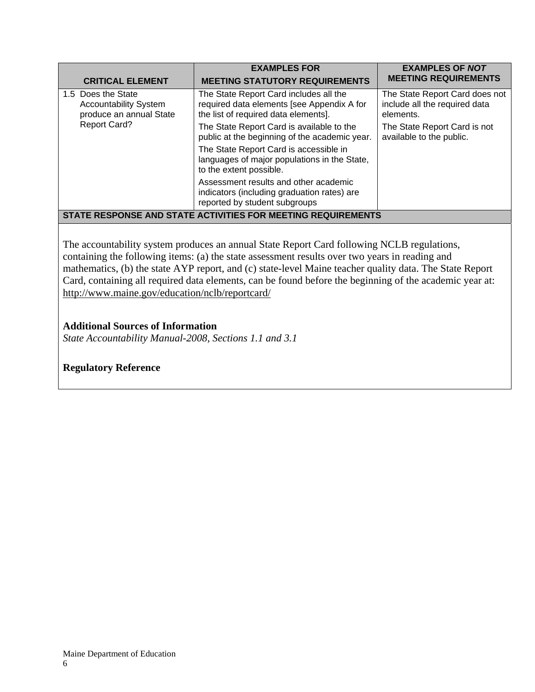| <b>CRITICAL ELEMENT</b>                                                       | <b>EXAMPLES FOR</b><br><b>MEETING STATUTORY REQUIREMENTS</b>                                                                 | <b>EXAMPLES OF NOT</b><br><b>MEETING REQUIREMENTS</b>                        |  |
|-------------------------------------------------------------------------------|------------------------------------------------------------------------------------------------------------------------------|------------------------------------------------------------------------------|--|
| 1.5 Does the State<br><b>Accountability System</b><br>produce an annual State | The State Report Card includes all the<br>required data elements [see Appendix A for<br>the list of required data elements]. | The State Report Card does not<br>include all the required data<br>elements. |  |
| <b>Report Card?</b>                                                           | The State Report Card is available to the<br>public at the beginning of the academic year.                                   | The State Report Card is not<br>available to the public.                     |  |
|                                                                               | The State Report Card is accessible in<br>languages of major populations in the State,<br>to the extent possible.            |                                                                              |  |
|                                                                               | Assessment results and other academic<br>indicators (including graduation rates) are<br>reported by student subgroups        |                                                                              |  |
| STATE RESPONSE AND STATE ACTIVITIES FOR MEETING REQUIREMENTS                  |                                                                                                                              |                                                                              |  |

The accountability system produces an annual State Report Card following NCLB regulations, containing the following items: (a) the state assessment results over two years in reading and mathematics, (b) the state AYP report, and (c) state-level Maine teacher quality data. The State Report Card, containing all required data elements, can be found before the beginning of the academic year at: http://www.maine.gov/education/nclb/reportcard/

## **Additional Sources of Information**

*State Accountability Manual-2008, Sections 1.1 and 3.1*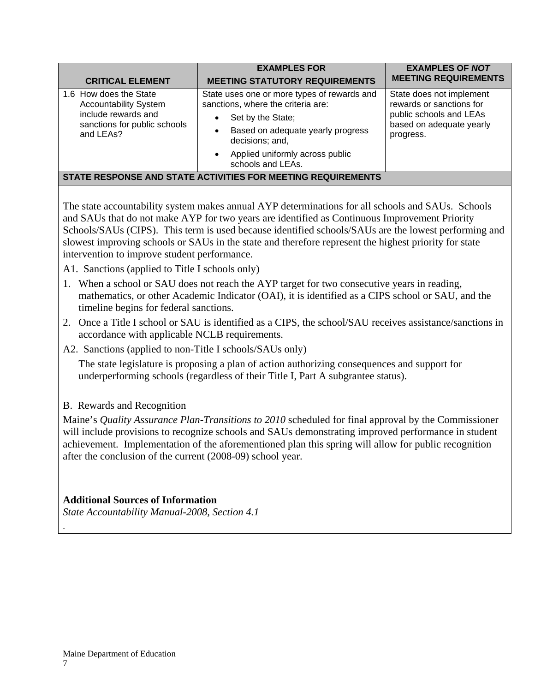| <b>CRITICAL ELEMENT</b>                                                                                                    | <b>EXAMPLES FOR</b><br><b>MEETING STATUTORY REQUIREMENTS</b>                                                                                                                                                                                          | <b>EXAMPLES OF NOT</b><br><b>MEETING REQUIREMENTS</b>                                                                    |
|----------------------------------------------------------------------------------------------------------------------------|-------------------------------------------------------------------------------------------------------------------------------------------------------------------------------------------------------------------------------------------------------|--------------------------------------------------------------------------------------------------------------------------|
| 1.6 How does the State<br><b>Accountability System</b><br>include rewards and<br>sanctions for public schools<br>and LEAs? | State uses one or more types of rewards and<br>sanctions, where the criteria are:<br>Set by the State;<br>$\bullet$<br>Based on adequate yearly progress<br>٠<br>decisions; and,<br>Applied uniformly across public<br>$\bullet$<br>schools and LEAs. | State does not implement<br>rewards or sanctions for<br>public schools and LEAs<br>based on adequate yearly<br>progress. |
|                                                                                                                            | STATE RESPONSE AND STATE ACTIVITIES FOR MEETING REQUIREMENTS                                                                                                                                                                                          |                                                                                                                          |

The state accountability system makes annual AYP determinations for all schools and SAUs. Schools and SAUs that do not make AYP for two years are identified as Continuous Improvement Priority Schools/SAUs (CIPS). This term is used because identified schools/SAUs are the lowest performing and slowest improving schools or SAUs in the state and therefore represent the highest priority for state intervention to improve student performance.

A1. Sanctions (applied to Title I schools only)

- 1. When a school or SAU does not reach the AYP target for two consecutive years in reading, mathematics, or other Academic Indicator (OAI), it is identified as a CIPS school or SAU, and the timeline begins for federal sanctions.
- 2. Once a Title I school or SAU is identified as a CIPS, the school/SAU receives assistance/sanctions in accordance with applicable NCLB requirements.
- A2. Sanctions (applied to non-Title I schools/SAUs only)

 The state legislature is proposing a plan of action authorizing consequences and support for underperforming schools (regardless of their Title I, Part A subgrantee status).

B. Rewards and Recognition

Maine's *Quality Assurance Plan-Transitions to 2010* scheduled for final approval by the Commissioner will include provisions to recognize schools and SAUs demonstrating improved performance in student achievement. Implementation of the aforementioned plan this spring will allow for public recognition after the conclusion of the current (2008-09) school year.

# **Additional Sources of Information**

*State Accountability Manual-2008, Section 4.1* 

.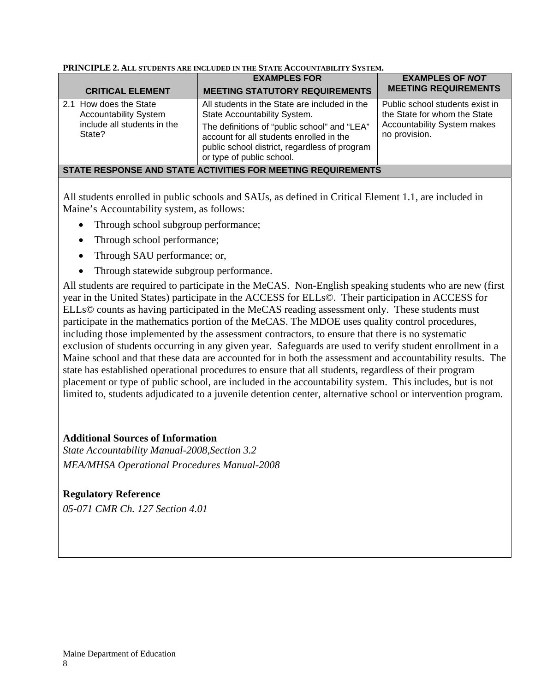|                                                              | <b>EXAMPLES FOR</b>                                                                                                                                                    | <b>EXAMPLES OF NOT</b>                                                                                                 |  |
|--------------------------------------------------------------|------------------------------------------------------------------------------------------------------------------------------------------------------------------------|------------------------------------------------------------------------------------------------------------------------|--|
| <b>CRITICAL ELEMENT</b>                                      | <b>MEETING STATUTORY REQUIREMENTS</b>                                                                                                                                  | <b>MEETING REQUIREMENTS</b>                                                                                            |  |
| 2.1 How does the State<br><b>Accountability System</b>       | All students in the State are included in the<br>State Accountability System.                                                                                          | Public school students exist in<br>the State for whom the State<br><b>Accountability System makes</b><br>no provision. |  |
| include all students in the<br>State?                        | The definitions of "public school" and "LEA"<br>account for all students enrolled in the<br>public school district, regardless of program<br>or type of public school. |                                                                                                                        |  |
| STATE RESPONSE AND STATE ACTIVITIES FOR MEETING REQUIREMENTS |                                                                                                                                                                        |                                                                                                                        |  |

#### **PRINCIPLE 2. ALL STUDENTS ARE INCLUDED IN THE STATE ACCOUNTABILITY SYSTEM.**

All students enrolled in public schools and SAUs, as defined in Critical Element 1.1, are included in Maine's Accountability system, as follows:

- Through school subgroup performance;
- Through school performance;
- Through SAU performance; or,
- Through statewide subgroup performance.

All students are required to participate in the MeCAS. Non-English speaking students who are new (first year in the United States) participate in the ACCESS for ELLs©. Their participation in ACCESS for ELLs© counts as having participated in the MeCAS reading assessment only. These students must participate in the mathematics portion of the MeCAS. The MDOE uses quality control procedures, including those implemented by the assessment contractors, to ensure that there is no systematic exclusion of students occurring in any given year. Safeguards are used to verify student enrollment in a Maine school and that these data are accounted for in both the assessment and accountability results. The state has established operational procedures to ensure that all students, regardless of their program placement or type of public school, are included in the accountability system. This includes, but is not limited to, students adjudicated to a juvenile detention center, alternative school or intervention program.

# **Additional Sources of Information**

*State Accountability Manual-2008,Section 3.2 MEA/MHSA Operational Procedures Manual-2008* 

# **Regulatory Reference**

*05-071 CMR Ch. 127 Section 4.01*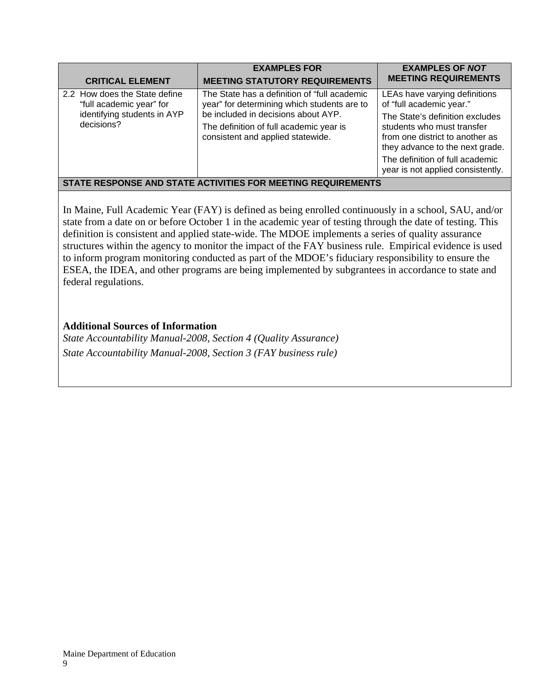| <b>CRITICAL ELEMENT</b>                                                                                | <b>EXAMPLES FOR</b><br><b>MEETING STATUTORY REQUIREMENTS</b>                                                                                                                                                        | <b>EXAMPLES OF NOT</b><br><b>MEETING REQUIREMENTS</b>                                                                                                                                                                                                                    |  |
|--------------------------------------------------------------------------------------------------------|---------------------------------------------------------------------------------------------------------------------------------------------------------------------------------------------------------------------|--------------------------------------------------------------------------------------------------------------------------------------------------------------------------------------------------------------------------------------------------------------------------|--|
| 2.2 How does the State define<br>"full academic year" for<br>identifying students in AYP<br>decisions? | The State has a definition of "full academic"<br>year" for determining which students are to<br>be included in decisions about AYP.<br>The definition of full academic year is<br>consistent and applied statewide. | LEAs have varying definitions<br>of "full academic year."<br>The State's definition excludes<br>students who must transfer<br>from one district to another as<br>they advance to the next grade.<br>The definition of full academic<br>year is not applied consistently. |  |
| STATE RESPONSE AND STATE ACTIVITIES FOR MEETING REQUIREMENTS                                           |                                                                                                                                                                                                                     |                                                                                                                                                                                                                                                                          |  |

In Maine, Full Academic Year (FAY) is defined as being enrolled continuously in a school, SAU, and/or state from a date on or before October 1 in the academic year of testing through the date of testing. This definition is consistent and applied state-wide. The MDOE implements a series of quality assurance structures within the agency to monitor the impact of the FAY business rule. Empirical evidence is used to inform program monitoring conducted as part of the MDOE's fiduciary responsibility to ensure the ESEA, the IDEA, and other programs are being implemented by subgrantees in accordance to state and federal regulations.

# **Additional Sources of Information**

*State Accountability Manual-2008, Section 4 (Quality Assurance) State Accountability Manual-2008, Section 3 (FAY business rule)*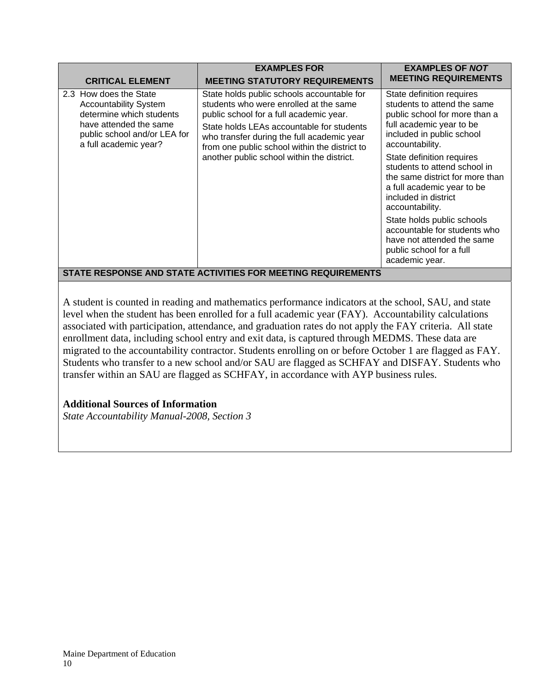| <b>CRITICAL ELEMENT</b>                                                                                                                                               | <b>EXAMPLES FOR</b><br><b>MEETING STATUTORY REQUIREMENTS</b>                                                                                                                                                                                                                                                              | <b>EXAMPLES OF NOT</b><br><b>MEETING REQUIREMENTS</b>                                                                                                                                                                                                                                                                                                                                                                                                                                    |  |
|-----------------------------------------------------------------------------------------------------------------------------------------------------------------------|---------------------------------------------------------------------------------------------------------------------------------------------------------------------------------------------------------------------------------------------------------------------------------------------------------------------------|------------------------------------------------------------------------------------------------------------------------------------------------------------------------------------------------------------------------------------------------------------------------------------------------------------------------------------------------------------------------------------------------------------------------------------------------------------------------------------------|--|
| 2.3 How does the State<br><b>Accountability System</b><br>determine which students<br>have attended the same<br>public school and/or LEA for<br>a full academic year? | State holds public schools accountable for<br>students who were enrolled at the same<br>public school for a full academic year.<br>State holds LEAs accountable for students<br>who transfer during the full academic year<br>from one public school within the district to<br>another public school within the district. | State definition requires<br>students to attend the same<br>public school for more than a<br>full academic year to be<br>included in public school<br>accountability.<br>State definition requires<br>students to attend school in<br>the same district for more than<br>a full academic year to be<br>included in district<br>accountability.<br>State holds public schools<br>accountable for students who<br>have not attended the same<br>public school for a full<br>academic year. |  |
| STATE RESPONSE AND STATE ACTIVITIES FOR MEETING REQUIREMENTS                                                                                                          |                                                                                                                                                                                                                                                                                                                           |                                                                                                                                                                                                                                                                                                                                                                                                                                                                                          |  |

A student is counted in reading and mathematics performance indicators at the school, SAU, and state level when the student has been enrolled for a full academic year (FAY). Accountability calculations associated with participation, attendance, and graduation rates do not apply the FAY criteria. All state enrollment data, including school entry and exit data, is captured through MEDMS. These data are migrated to the accountability contractor. Students enrolling on or before October 1 are flagged as FAY. Students who transfer to a new school and/or SAU are flagged as SCHFAY and DISFAY. Students who transfer within an SAU are flagged as SCHFAY, in accordance with AYP business rules.

# **Additional Sources of Information**

*State Accountability Manual-2008, Section 3*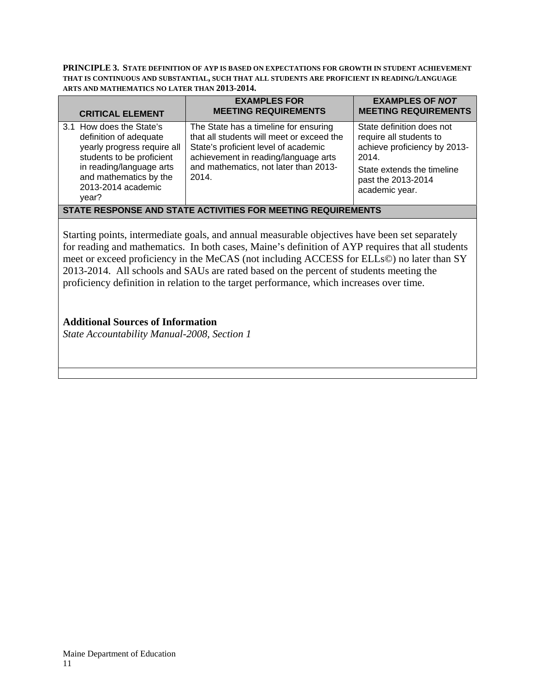**PRINCIPLE 3. STATE DEFINITION OF AYP IS BASED ON EXPECTATIONS FOR GROWTH IN STUDENT ACHIEVEMENT THAT IS CONTINUOUS AND SUBSTANTIAL, SUCH THAT ALL STUDENTS ARE PROFICIENT IN READING/LANGUAGE ARTS AND MATHEMATICS NO LATER THAN 2013-2014.** 

| <b>CRITICAL ELEMENT</b>                                                                                                                                                                             | <b>EXAMPLES FOR</b><br><b>MEETING REQUIREMENTS</b>                                                                                                                                                                   | <b>EXAMPLES OF NOT</b><br><b>MEETING REQUIREMENTS</b>                                                                                                               |  |
|-----------------------------------------------------------------------------------------------------------------------------------------------------------------------------------------------------|----------------------------------------------------------------------------------------------------------------------------------------------------------------------------------------------------------------------|---------------------------------------------------------------------------------------------------------------------------------------------------------------------|--|
| 3.1 How does the State's<br>definition of adequate<br>yearly progress require all<br>students to be proficient<br>in reading/language arts<br>and mathematics by the<br>2013-2014 academic<br>year? | The State has a timeline for ensuring<br>that all students will meet or exceed the<br>State's proficient level of academic<br>achievement in reading/language arts<br>and mathematics, not later than 2013-<br>2014. | State definition does not<br>require all students to<br>achieve proficiency by 2013-<br>2014.<br>State extends the timeline<br>past the 2013-2014<br>academic year. |  |
| STATE RESPONSE AND STATE ACTIVITIES FOR MEETING REQUIREMENTS                                                                                                                                        |                                                                                                                                                                                                                      |                                                                                                                                                                     |  |

Starting points, intermediate goals, and annual measurable objectives have been set separately for reading and mathematics. In both cases, Maine's definition of AYP requires that all students meet or exceed proficiency in the MeCAS (not including ACCESS for ELLs©) no later than SY 2013-2014. All schools and SAUs are rated based on the percent of students meeting the proficiency definition in relation to the target performance, which increases over time.

## **Additional Sources of Information**

*State Accountability Manual-2008, Section 1*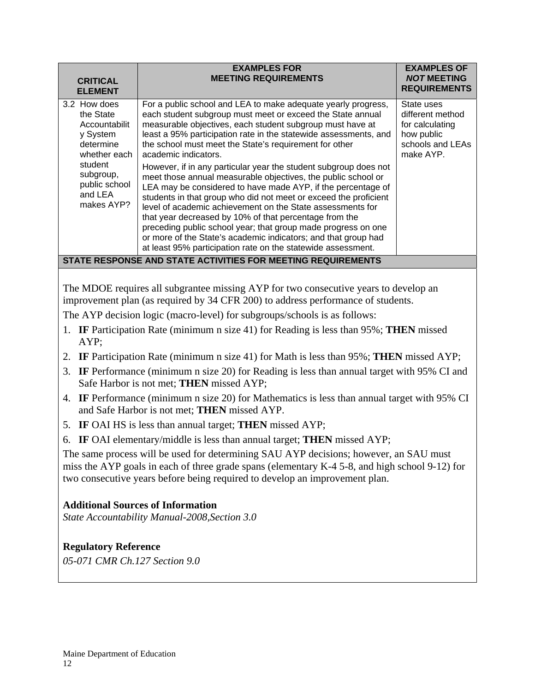| <b>CRITICAL</b><br><b>ELEMENT</b>                                                                                                                     | <b>EXAMPLES FOR</b><br><b>MEETING REQUIREMENTS</b>                                                                                                                                                                                                                                                                                                                                                                                                                                                                                                                                                                                                                                                                                                                                                                                                                                                                                                 | <b>EXAMPLES OF</b><br><b>NOT MEETING</b><br><b>REQUIREMENTS</b>                                  |  |  |
|-------------------------------------------------------------------------------------------------------------------------------------------------------|----------------------------------------------------------------------------------------------------------------------------------------------------------------------------------------------------------------------------------------------------------------------------------------------------------------------------------------------------------------------------------------------------------------------------------------------------------------------------------------------------------------------------------------------------------------------------------------------------------------------------------------------------------------------------------------------------------------------------------------------------------------------------------------------------------------------------------------------------------------------------------------------------------------------------------------------------|--------------------------------------------------------------------------------------------------|--|--|
| 3.2 How does<br>the State<br>Accountabilit<br>y System<br>determine<br>whether each<br>student<br>subgroup,<br>public school<br>and LEA<br>makes AYP? | For a public school and LEA to make adequate yearly progress,<br>each student subgroup must meet or exceed the State annual<br>measurable objectives, each student subgroup must have at<br>least a 95% participation rate in the statewide assessments, and<br>the school must meet the State's requirement for other<br>academic indicators.<br>However, if in any particular year the student subgroup does not<br>meet those annual measurable objectives, the public school or<br>LEA may be considered to have made AYP, if the percentage of<br>students in that group who did not meet or exceed the proficient<br>level of academic achievement on the State assessments for<br>that year decreased by 10% of that percentage from the<br>preceding public school year; that group made progress on one<br>or more of the State's academic indicators; and that group had<br>at least 95% participation rate on the statewide assessment. | State uses<br>different method<br>for calculating<br>how public<br>schools and LEAs<br>make AYP. |  |  |
| STATE RESPONSE AND STATE ACTIVITIES FOR MEETING REQUIREMENTS                                                                                          |                                                                                                                                                                                                                                                                                                                                                                                                                                                                                                                                                                                                                                                                                                                                                                                                                                                                                                                                                    |                                                                                                  |  |  |

The MDOE requires all subgrantee missing AYP for two consecutive years to develop an improvement plan (as required by 34 CFR 200) to address performance of students.

The AYP decision logic (macro-level) for subgroups/schools is as follows:

- 1. **IF** Participation Rate (minimum n size 41) for Reading is less than 95%; **THEN** missed AYP;
- 2. **IF** Participation Rate (minimum n size 41) for Math is less than 95%; **THEN** missed AYP;
- 3. **IF** Performance (minimum n size 20) for Reading is less than annual target with 95% CI and Safe Harbor is not met; **THEN** missed AYP;
- 4. **IF** Performance (minimum n size 20) for Mathematics is less than annual target with 95% CI and Safe Harbor is not met; **THEN** missed AYP.
- 5. **IF** OAI HS is less than annual target; **THEN** missed AYP;
- 6. **IF** OAI elementary/middle is less than annual target; **THEN** missed AYP;

The same process will be used for determining SAU AYP decisions; however, an SAU must miss the AYP goals in each of three grade spans (elementary K-4 5-8, and high school 9-12) for two consecutive years before being required to develop an improvement plan.

# **Additional Sources of Information**

*State Accountability Manual-2008,Section 3.0* 

# **Regulatory Reference**

*05-071 CMR Ch.127 Section 9.0*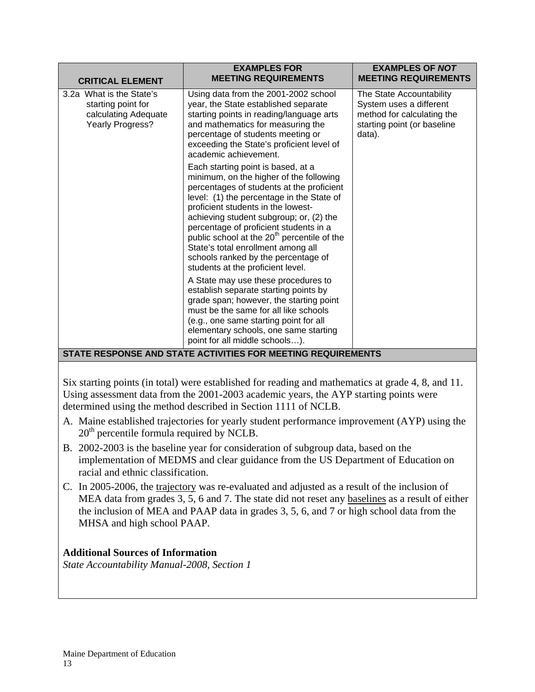| 3.2a What is the State's                                              | Using data from the 2001-2002 school<br>year, the State established separate                                                                                                                                                                                                                                                                                                                                                                                                    | The State Accountability                                                                       |
|-----------------------------------------------------------------------|---------------------------------------------------------------------------------------------------------------------------------------------------------------------------------------------------------------------------------------------------------------------------------------------------------------------------------------------------------------------------------------------------------------------------------------------------------------------------------|------------------------------------------------------------------------------------------------|
| starting point for<br>calculating Adequate<br><b>Yearly Progress?</b> | starting points in reading/language arts<br>and mathematics for measuring the<br>percentage of students meeting or<br>exceeding the State's proficient level of<br>academic achievement.                                                                                                                                                                                                                                                                                        | System uses a different<br>method for calculating the<br>starting point (or baseline<br>data). |
|                                                                       | Each starting point is based, at a<br>minimum, on the higher of the following<br>percentages of students at the proficient<br>level: (1) the percentage in the State of<br>proficient students in the lowest-<br>achieving student subgroup; or, (2) the<br>percentage of proficient students in a<br>public school at the 20 <sup>th</sup> percentile of the<br>State's total enrollment among all<br>schools ranked by the percentage of<br>students at the proficient level. |                                                                                                |
|                                                                       | A State may use these procedures to<br>establish separate starting points by<br>grade span; however, the starting point<br>must be the same for all like schools<br>(e.g., one same starting point for all<br>elementary schools, one same starting<br>point for all middle schools).<br>STATE RESPONSE AND STATE ACTIVITIES FOR MEETING REQUIREMENTS                                                                                                                           |                                                                                                |

Six starting points (in total) were established for reading and mathematics at grade 4, 8, and 11. Using assessment data from the 2001-2003 academic years, the AYP starting points were determined using the method described in Section 1111 of NCLB.

- A. Maine established trajectories for yearly student performance improvement (AYP) using the 20<sup>th</sup> percentile formula required by NCLB.
- B. 2002-2003 is the baseline year for consideration of subgroup data, based on the implementation of MEDMS and clear guidance from the US Department of Education on racial and ethnic classification.
- C. In 2005-2006, the trajectory was re-evaluated and adjusted as a result of the inclusion of MEA data from grades 3, 5, 6 and 7. The state did not reset any baselines as a result of either the inclusion of MEA and PAAP data in grades 3, 5, 6, and 7 or high school data from the MHSA and high school PAAP.

# **Additional Sources of Information**

*State Accountability Manual-2008, Section 1*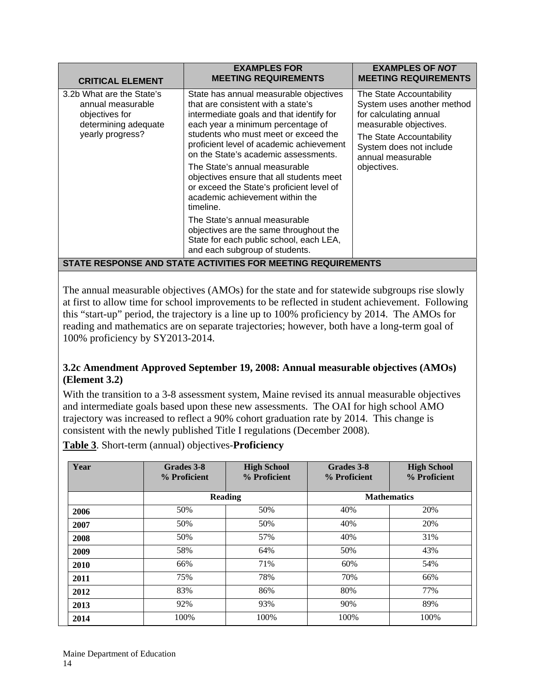| <b>CRITICAL ELEMENT</b>                                                                                      | <b>EXAMPLES FOR</b><br><b>MEETING REQUIREMENTS</b>                                                                                                                                                                                                                                                                                                                                                                                                                                                   | <b>EXAMPLES OF NOT</b><br><b>MEETING REQUIREMENTS</b>                                                                                                                                                 |  |
|--------------------------------------------------------------------------------------------------------------|------------------------------------------------------------------------------------------------------------------------------------------------------------------------------------------------------------------------------------------------------------------------------------------------------------------------------------------------------------------------------------------------------------------------------------------------------------------------------------------------------|-------------------------------------------------------------------------------------------------------------------------------------------------------------------------------------------------------|--|
| 3.2b What are the State's<br>annual measurable<br>objectives for<br>determining adequate<br>yearly progress? | State has annual measurable objectives<br>that are consistent with a state's<br>intermediate goals and that identify for<br>each year a minimum percentage of<br>students who must meet or exceed the<br>proficient level of academic achievement<br>on the State's academic assessments.<br>The State's annual measurable<br>objectives ensure that all students meet<br>or exceed the State's proficient level of<br>academic achievement within the<br>timeline.<br>The State's annual measurable | The State Accountability<br>System uses another method<br>for calculating annual<br>measurable objectives.<br>The State Accountability<br>System does not include<br>annual measurable<br>objectives. |  |
|                                                                                                              | objectives are the same throughout the<br>State for each public school, each LEA,<br>and each subgroup of students.                                                                                                                                                                                                                                                                                                                                                                                  |                                                                                                                                                                                                       |  |
| STATE RESPONSE AND STATE ACTIVITIES FOR MEETING REQUIREMENTS                                                 |                                                                                                                                                                                                                                                                                                                                                                                                                                                                                                      |                                                                                                                                                                                                       |  |

The annual measurable objectives (AMOs) for the state and for statewide subgroups rise slowly at first to allow time for school improvements to be reflected in student achievement. Following this "start-up" period, the trajectory is a line up to 100% proficiency by 2014. The AMOs for reading and mathematics are on separate trajectories; however, both have a long-term goal of 100% proficiency by SY2013-2014.

# **3.2c Amendment Approved September 19, 2008: Annual measurable objectives (AMOs) (Element 3.2)**

With the transition to a 3-8 assessment system, Maine revised its annual measurable objectives and intermediate goals based upon these new assessments. The OAI for high school AMO trajectory was increased to reflect a 90% cohort graduation rate by 2014. This change is consistent with the newly published Title I regulations (December 2008).

**Table 3**. Short-term (annual) objectives-**Proficiency** 

| Year | Grades 3-8<br>% Proficient | <b>High School</b><br>% Proficient | Grades 3-8<br>% Proficient | <b>High School</b><br>% Proficient |
|------|----------------------------|------------------------------------|----------------------------|------------------------------------|
|      |                            | <b>Reading</b>                     |                            | <b>Mathematics</b>                 |
| 2006 | 50%                        | 50%                                | 40%                        | 20%                                |
| 2007 | 50%                        | 50%                                | 40%                        | 20%                                |
| 2008 | 50%                        | 57%                                | 40%                        | 31%                                |
| 2009 | 58%                        | 64%                                | 50%                        | 43%                                |
| 2010 | 66%                        | 71%                                | 60%                        | 54%                                |
| 2011 | 75%                        | 78%                                | 70%                        | 66%                                |
| 2012 | 83%                        | 86%                                | 80%                        | 77%                                |
| 2013 | 92%                        | 93%                                | 90%                        | 89%                                |
| 2014 | 100%                       | 100%                               | 100%                       | 100%                               |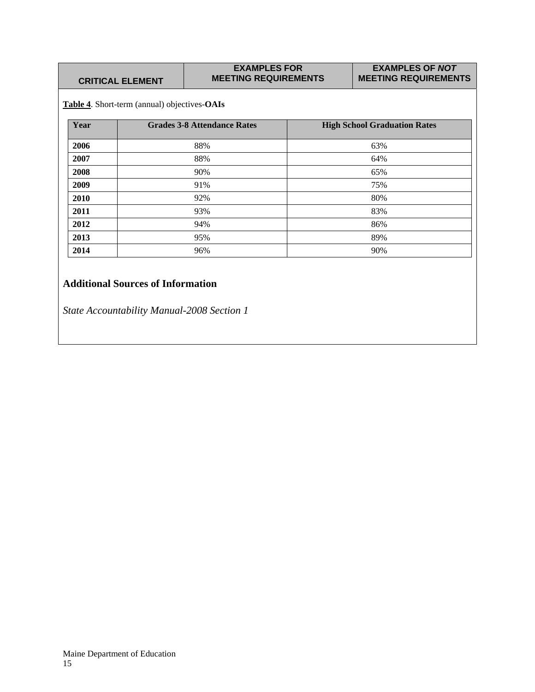| <b>CRITICAL ELEMENT</b> |  |  |
|-------------------------|--|--|
|                         |  |  |

#### **EXAMPLES FOR MEETING REQUIREMENTS**

#### **EXAMPLES OF** *NOT*  **MEETING REQUIREMENTS**

**Table 4**. Short-term (annual) objectives-**OAIs** 

| Year | <b>Grades 3-8 Attendance Rates</b> | <b>High School Graduation Rates</b> |
|------|------------------------------------|-------------------------------------|
| 2006 | 88%                                | 63%                                 |
| 2007 | 88%                                | 64%                                 |
| 2008 | 90%                                | 65%                                 |
| 2009 | 91%                                | 75%                                 |
| 2010 | 92%                                | 80%                                 |
| 2011 | 93%                                | 83%                                 |
| 2012 | 94%                                | 86%                                 |
| 2013 | 95%                                | 89%                                 |
| 2014 | 96%                                | 90%                                 |

# **Additional Sources of Information**

*State Accountability Manual-2008 Section 1*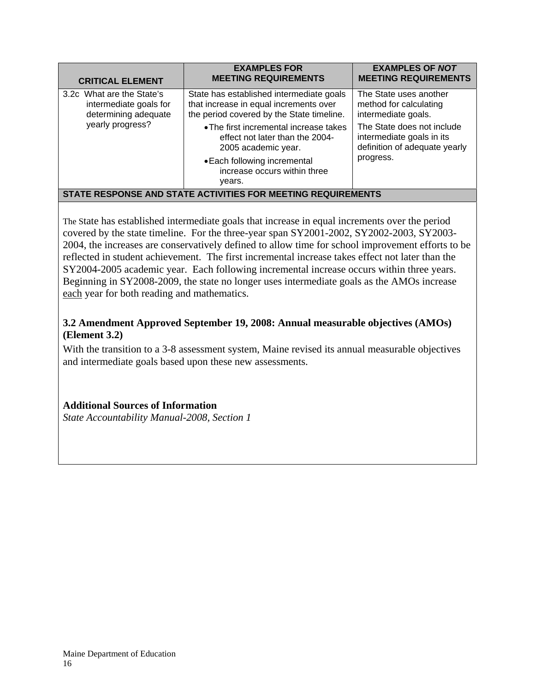| <b>CRITICAL ELEMENT</b>                                                     | <b>EXAMPLES FOR</b><br><b>MEETING REQUIREMENTS</b>                                                                              | <b>EXAMPLES OF NOT</b><br><b>MEETING REQUIREMENTS</b>                                    |
|-----------------------------------------------------------------------------|---------------------------------------------------------------------------------------------------------------------------------|------------------------------------------------------------------------------------------|
| 3.2c What are the State's<br>intermediate goals for<br>determining adequate | State has established intermediate goals<br>that increase in equal increments over<br>the period covered by the State timeline. | The State uses another<br>method for calculating<br>intermediate goals.                  |
| yearly progress?                                                            | • The first incremental increase takes<br>effect not later than the 2004-<br>2005 academic year.                                | The State does not include<br>intermediate goals in its<br>definition of adequate yearly |
|                                                                             | • Each following incremental<br>increase occurs within three<br>years.                                                          | progress.                                                                                |
| STATE RESPONSE AND STATE ACTIVITIES FOR MEETING REQUIREMENTS                |                                                                                                                                 |                                                                                          |

The State has established intermediate goals that increase in equal increments over the period covered by the state timeline. For the three-year span SY2001-2002, SY2002-2003, SY2003- 2004, the increases are conservatively defined to allow time for school improvement efforts to be reflected in student achievement. The first incremental increase takes effect not later than the SY2004-2005 academic year. Each following incremental increase occurs within three years. Beginning in SY2008-2009, the state no longer uses intermediate goals as the AMOs increase each year for both reading and mathematics.

# **3.2 Amendment Approved September 19, 2008: Annual measurable objectives (AMOs) (Element 3.2)**

With the transition to a 3-8 assessment system, Maine revised its annual measurable objectives and intermediate goals based upon these new assessments.

# **Additional Sources of Information**

*State Accountability Manual-2008, Section 1*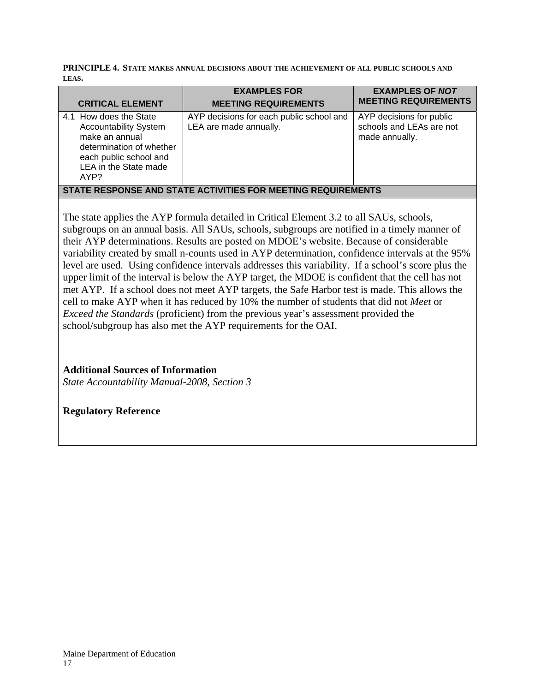**PRINCIPLE 4. STATE MAKES ANNUAL DECISIONS ABOUT THE ACHIEVEMENT OF ALL PUBLIC SCHOOLS AND LEAS.** 

| <b>CRITICAL ELEMENT</b>                                                                                                                                         | <b>EXAMPLES FOR</b><br><b>MEETING REQUIREMENTS</b>                 | <b>EXAMPLES OF NOT</b><br><b>MEETING REQUIREMENTS</b>                  |  |
|-----------------------------------------------------------------------------------------------------------------------------------------------------------------|--------------------------------------------------------------------|------------------------------------------------------------------------|--|
| 4.1 How does the State<br><b>Accountability System</b><br>make an annual<br>determination of whether<br>each public school and<br>LEA in the State made<br>AYP? | AYP decisions for each public school and<br>LEA are made annually. | AYP decisions for public<br>schools and LEAs are not<br>made annually. |  |
| STATE RESPONSE AND STATE ACTIVITIES FOR MEETING REQUIREMENTS                                                                                                    |                                                                    |                                                                        |  |

The state applies the AYP formula detailed in Critical Element 3.2 to all SAUs, schools, subgroups on an annual basis. All SAUs, schools, subgroups are notified in a timely manner of their AYP determinations. Results are posted on MDOE's website. Because of considerable variability created by small n-counts used in AYP determination, confidence intervals at the 95% level are used. Using confidence intervals addresses this variability. If a school's score plus the upper limit of the interval is below the AYP target, the MDOE is confident that the cell has not met AYP. If a school does not meet AYP targets, the Safe Harbor test is made. This allows the cell to make AYP when it has reduced by 10% the number of students that did not *Meet* or *Exceed the Standards* (proficient) from the previous year's assessment provided the school/subgroup has also met the AYP requirements for the OAI.

# **Additional Sources of Information**

*State Accountability Manual-2008, Section 3*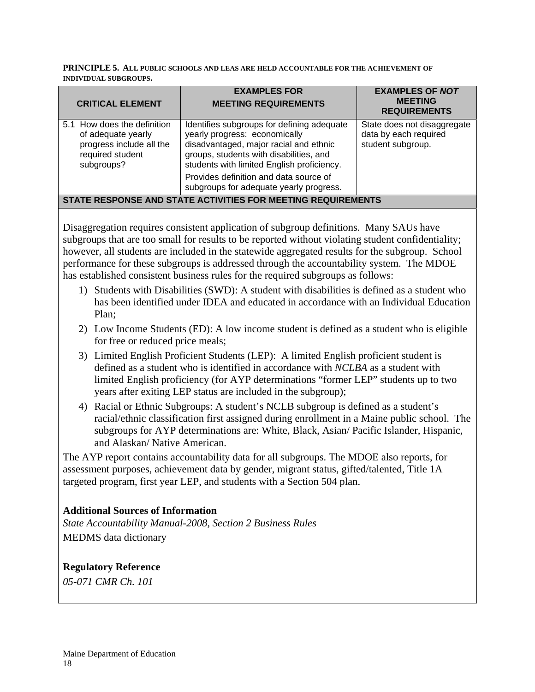#### **PRINCIPLE 5. ALL PUBLIC SCHOOLS AND LEAS ARE HELD ACCOUNTABLE FOR THE ACHIEVEMENT OF INDIVIDUAL SUBGROUPS.**

| <b>CRITICAL ELEMENT</b>                                                                                         | <b>EXAMPLES FOR</b><br><b>MEETING REQUIREMENTS</b>                                                                                                                                                                                                                                                  | <b>EXAMPLES OF NOT</b><br><b>MEETING</b><br><b>REQUIREMENTS</b>           |
|-----------------------------------------------------------------------------------------------------------------|-----------------------------------------------------------------------------------------------------------------------------------------------------------------------------------------------------------------------------------------------------------------------------------------------------|---------------------------------------------------------------------------|
| 5.1 How does the definition<br>of adequate yearly<br>progress include all the<br>required student<br>subgroups? | Identifies subgroups for defining adequate<br>yearly progress: economically<br>disadvantaged, major racial and ethnic<br>groups, students with disabilities, and<br>students with limited English proficiency.<br>Provides definition and data source of<br>subgroups for adequate yearly progress. | State does not disaggregate<br>data by each required<br>student subgroup. |
| STATE RESPONSE AND STATE ACTIVITIES FOR MEETING REQUIREMENTS                                                    |                                                                                                                                                                                                                                                                                                     |                                                                           |

Disaggregation requires consistent application of subgroup definitions. Many SAUs have subgroups that are too small for results to be reported without violating student confidentiality; however, all students are included in the statewide aggregated results for the subgroup. School performance for these subgroups is addressed through the accountability system. The MDOE has established consistent business rules for the required subgroups as follows:

- 1) Students with Disabilities (SWD): A student with disabilities is defined as a student who has been identified under IDEA and educated in accordance with an Individual Education Plan;
- 2) Low Income Students (ED): A low income student is defined as a student who is eligible for free or reduced price meals;
- 3) Limited English Proficient Students (LEP): A limited English proficient student is defined as a student who is identified in accordance with *NCLBA* as a student with limited English proficiency (for AYP determinations "former LEP" students up to two years after exiting LEP status are included in the subgroup);
- 4) Racial or Ethnic Subgroups: A student's NCLB subgroup is defined as a student's racial/ethnic classification first assigned during enrollment in a Maine public school. The subgroups for AYP determinations are: White, Black, Asian/ Pacific Islander, Hispanic, and Alaskan/ Native American.

The AYP report contains accountability data for all subgroups. The MDOE also reports, for assessment purposes, achievement data by gender, migrant status, gifted/talented, Title 1A targeted program, first year LEP, and students with a Section 504 plan.

# **Additional Sources of Information**

*State Accountability Manual-2008, Section 2 Business Rules*  MEDMS data dictionary

**Regulatory Reference**  *05-071 CMR Ch. 101*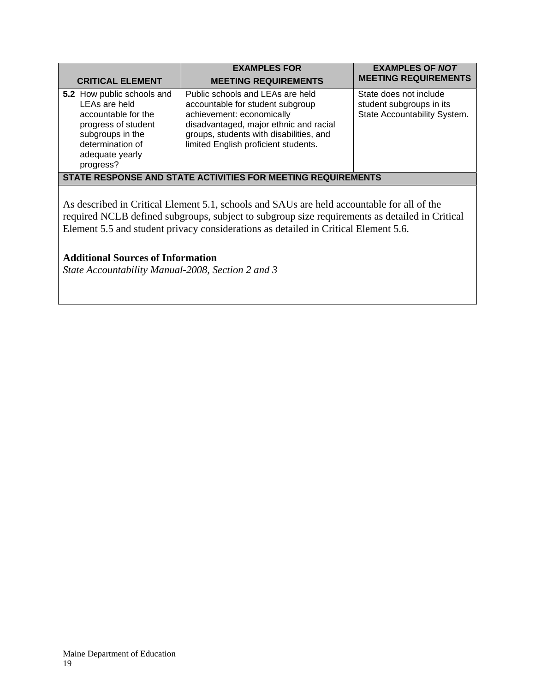| <b>CRITICAL ELEMENT</b>                                                                                                                                           | <b>EXAMPLES FOR</b><br><b>MEETING REQUIREMENTS</b>                                                                                                                                                                             | <b>EXAMPLES OF NOT</b><br><b>MEETING REQUIREMENTS</b>                              |
|-------------------------------------------------------------------------------------------------------------------------------------------------------------------|--------------------------------------------------------------------------------------------------------------------------------------------------------------------------------------------------------------------------------|------------------------------------------------------------------------------------|
| 5.2 How public schools and<br>LEAs are held<br>accountable for the<br>progress of student<br>subgroups in the<br>determination of<br>adequate yearly<br>progress? | Public schools and LEAs are held<br>accountable for student subgroup<br>achievement: economically<br>disadvantaged, major ethnic and racial<br>groups, students with disabilities, and<br>limited English proficient students. | State does not include<br>student subgroups in its<br>State Accountability System. |
| STATE RESPONSE AND STATE ACTIVITIES FOR MEETING REQUIREMENTS                                                                                                      |                                                                                                                                                                                                                                |                                                                                    |

As described in Critical Element 5.1, schools and SAUs are held accountable for all of the required NCLB defined subgroups, subject to subgroup size requirements as detailed in Critical Element 5.5 and student privacy considerations as detailed in Critical Element 5.6.

# **Additional Sources of Information**

*State Accountability Manual-2008, Section 2 and 3*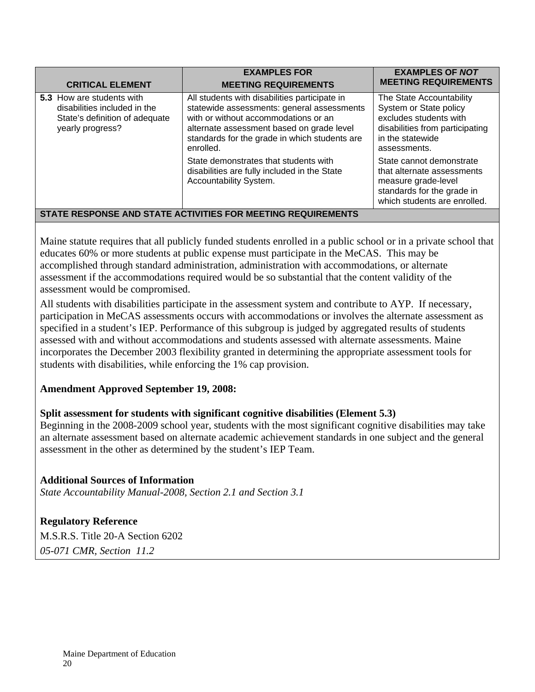| <b>CRITICAL ELEMENT</b>                                                                                         | <b>EXAMPLES FOR</b><br><b>MEETING REQUIREMENTS</b>                                                                                                                                                                                                                                      | <b>EXAMPLES OF NOT</b><br><b>MEETING REQUIREMENTS</b>                                                                                                                           |
|-----------------------------------------------------------------------------------------------------------------|-----------------------------------------------------------------------------------------------------------------------------------------------------------------------------------------------------------------------------------------------------------------------------------------|---------------------------------------------------------------------------------------------------------------------------------------------------------------------------------|
| 5.3 How are students with<br>disabilities included in the<br>State's definition of adequate<br>yearly progress? | All students with disabilities participate in<br>statewide assessments: general assessments<br>with or without accommodations or an<br>alternate assessment based on grade level<br>standards for the grade in which students are<br>enrolled.<br>State demonstrates that students with | The State Accountability<br>System or State policy<br>excludes students with<br>disabilities from participating<br>in the statewide<br>assessments.<br>State cannot demonstrate |
|                                                                                                                 | disabilities are fully included in the State<br>Accountability System.<br><u>CTATE DECRONICE AND CTATE ACTIVITIES EOD MEETING DEQUIDEI</u>                                                                                                                                              | that alternate assessments<br>measure grade-level<br>standards for the grade in<br>which students are enrolled.                                                                 |

# **STATE RESPONSE AND STATE ACTIVITIES FOR MEETING REQUIREMENTS**

Maine statute requires that all publicly funded students enrolled in a public school or in a private school that educates 60% or more students at public expense must participate in the MeCAS. This may be accomplished through standard administration, administration with accommodations, or alternate assessment if the accommodations required would be so substantial that the content validity of the assessment would be compromised.

All students with disabilities participate in the assessment system and contribute to AYP. If necessary, participation in MeCAS assessments occurs with accommodations or involves the alternate assessment as specified in a student's IEP. Performance of this subgroup is judged by aggregated results of students assessed with and without accommodations and students assessed with alternate assessments. Maine incorporates the December 2003 flexibility granted in determining the appropriate assessment tools for students with disabilities, while enforcing the 1% cap provision.

# **Amendment Approved September 19, 2008:**

# **Split assessment for students with significant cognitive disabilities (Element 5.3)**

Beginning in the 2008-2009 school year, students with the most significant cognitive disabilities may take an alternate assessment based on alternate academic achievement standards in one subject and the general assessment in the other as determined by the student's IEP Team.

# **Additional Sources of Information**

*State Accountability Manual-2008, Section 2.1 and Section 3.1* 

**Regulatory Reference**  M.S.R.S. Title 20-A Section 6202 *05-071 CMR, Section 11.2*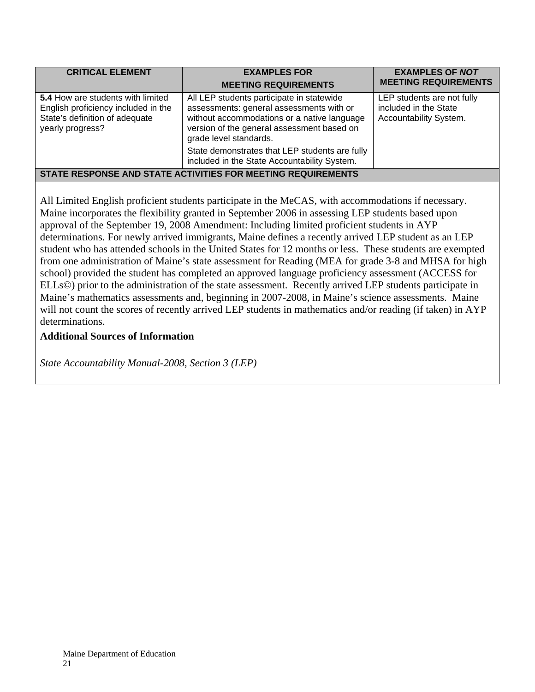| <b>CRITICAL ELEMENT</b>                                                                                                        | <b>EXAMPLES FOR</b><br><b>MEETING REQUIREMENTS</b>                                                                                                                                                           | <b>EXAMPLES OF NOT</b><br><b>MEETING REQUIREMENTS</b>                         |  |
|--------------------------------------------------------------------------------------------------------------------------------|--------------------------------------------------------------------------------------------------------------------------------------------------------------------------------------------------------------|-------------------------------------------------------------------------------|--|
| 5.4 How are students with limited<br>English proficiency included in the<br>State's definition of adequate<br>yearly progress? | All LEP students participate in statewide<br>assessments: general assessments with or<br>without accommodations or a native language<br>version of the general assessment based on<br>grade level standards. | LEP students are not fully<br>included in the State<br>Accountability System. |  |
|                                                                                                                                | State demonstrates that LEP students are fully<br>included in the State Accountability System.                                                                                                               |                                                                               |  |
| STATE RESPONSE AND STATE ACTIVITIES FOR MEETING REQUIREMENTS                                                                   |                                                                                                                                                                                                              |                                                                               |  |

All Limited English proficient students participate in the MeCAS, with accommodations if necessary. Maine incorporates the flexibility granted in September 2006 in assessing LEP students based upon approval of the September 19, 2008 Amendment: Including limited proficient students in AYP determinations. For newly arrived immigrants, Maine defines a recently arrived LEP student as an LEP student who has attended schools in the United States for 12 months or less. These students are exempted from one administration of Maine's state assessment for Reading (MEA for grade 3-8 and MHSA for high school) provided the student has completed an approved language proficiency assessment (ACCESS for ELLs©) prior to the administration of the state assessment. Recently arrived LEP students participate in Maine's mathematics assessments and, beginning in 2007-2008, in Maine's science assessments. Maine will not count the scores of recently arrived LEP students in mathematics and/or reading (if taken) in AYP determinations.

## **Additional Sources of Information**

*State Accountability Manual-2008, Section 3 (LEP)*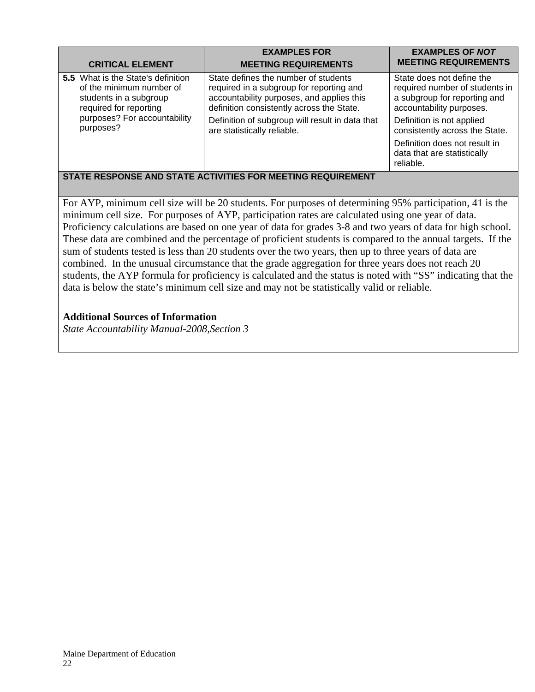| <b>CRITICAL ELEMENT</b>                                                                                                                                                | <b>EXAMPLES FOR</b><br><b>MEETING REQUIREMENTS</b>                                                                                                                                                                                                           | <b>EXAMPLES OF NOT</b><br><b>MEETING REQUIREMENTS</b>                                                                                                                                                                                                               |  |
|------------------------------------------------------------------------------------------------------------------------------------------------------------------------|--------------------------------------------------------------------------------------------------------------------------------------------------------------------------------------------------------------------------------------------------------------|---------------------------------------------------------------------------------------------------------------------------------------------------------------------------------------------------------------------------------------------------------------------|--|
| <b>5.5</b> What is the State's definition<br>of the minimum number of<br>students in a subgroup<br>required for reporting<br>purposes? For accountability<br>purposes? | State defines the number of students<br>required in a subgroup for reporting and<br>accountability purposes, and applies this<br>definition consistently across the State.<br>Definition of subgroup will result in data that<br>are statistically reliable. | State does not define the<br>required number of students in<br>a subgroup for reporting and<br>accountability purposes.<br>Definition is not applied<br>consistently across the State.<br>Definition does not result in<br>data that are statistically<br>reliable. |  |
| STATE DESDONISE AND STATE ACTIVITIES EOD MEETING DEOLIIDEMENT                                                                                                          |                                                                                                                                                                                                                                                              |                                                                                                                                                                                                                                                                     |  |

## **STATE RESPONSE AND STATE ACTIVITIES FOR MEETING REQUIREMENT**

For AYP, minimum cell size will be 20 students. For purposes of determining 95% participation, 41 is the minimum cell size. For purposes of AYP, participation rates are calculated using one year of data. Proficiency calculations are based on one year of data for grades 3-8 and two years of data for high school. These data are combined and the percentage of proficient students is compared to the annual targets. If the sum of students tested is less than 20 students over the two years, then up to three years of data are combined. In the unusual circumstance that the grade aggregation for three years does not reach 20 students, the AYP formula for proficiency is calculated and the status is noted with "SS" indicating that the data is below the state's minimum cell size and may not be statistically valid or reliable.

## **Additional Sources of Information**

*State Accountability Manual-2008,Section 3*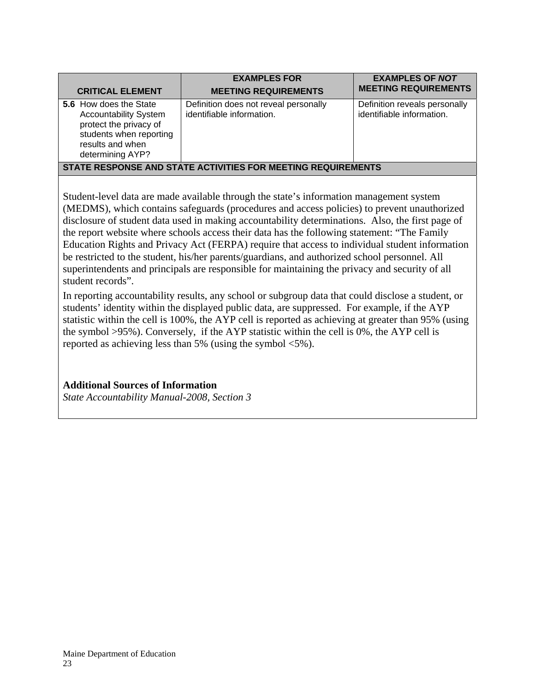| <b>CRITICAL ELEMENT</b>                                                                                                                                                                | <b>EXAMPLES FOR</b><br><b>MEETING REQUIREMENTS</b>                 | <b>EXAMPLES OF NOT</b><br><b>MEETING REQUIREMENTS</b>      |
|----------------------------------------------------------------------------------------------------------------------------------------------------------------------------------------|--------------------------------------------------------------------|------------------------------------------------------------|
| 5.6 How does the State<br><b>Accountability System</b><br>protect the privacy of<br>students when reporting<br>results and when<br>determining AYP?                                    | Definition does not reveal personally<br>identifiable information. | Definition reveals personally<br>identifiable information. |
| STATE RESPONSE AND STATE ACTIVITIES FOR MEETING REQUIREMENTS                                                                                                                           |                                                                    |                                                            |
| Student-level data are made available through the state's information management system<br>(MEDMS), which contains safeguards (procedures and access policies) to prevent unauthorized |                                                                    |                                                            |

(MEDMS), which contains safeguards (procedures and access policies) to prevent unauthorized disclosure of student data used in making accountability determinations. Also, the first page of the report website where schools access their data has the following statement: "The Family Education Rights and Privacy Act (FERPA) require that access to individual student information be restricted to the student, his/her parents/guardians, and authorized school personnel. All superintendents and principals are responsible for maintaining the privacy and security of all student records".

In reporting accountability results, any school or subgroup data that could disclose a student, or students' identity within the displayed public data, are suppressed. For example, if the AYP statistic within the cell is 100%, the AYP cell is reported as achieving at greater than 95% (using the symbol >95%). Conversely, if the AYP statistic within the cell is 0%, the AYP cell is reported as achieving less than 5% (using the symbol <5%).

**Additional Sources of Information** 

*State Accountability Manual-2008, Section 3*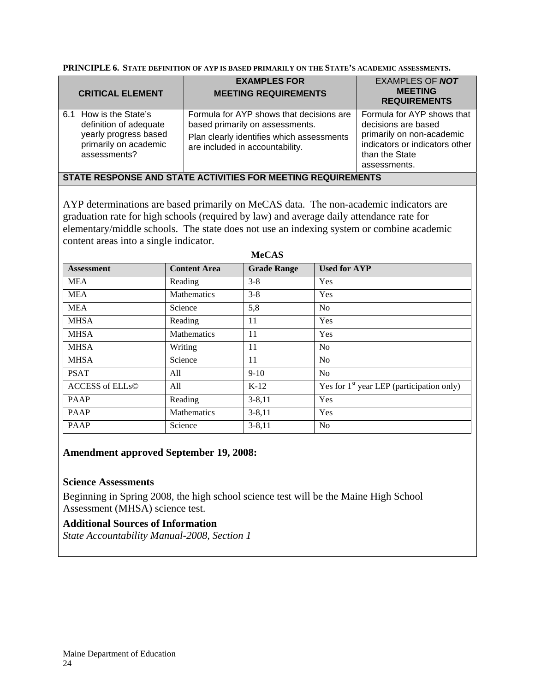| <b>CRITICAL ELEMENT</b>                                                                                            | <b>EXAMPLES FOR</b><br><b>MEETING REQUIREMENTS</b>                                                                                                          | <b>EXAMPLES OF NOT</b><br><b>MEETING</b><br><b>REQUIREMENTS</b>                                                                                    |
|--------------------------------------------------------------------------------------------------------------------|-------------------------------------------------------------------------------------------------------------------------------------------------------------|----------------------------------------------------------------------------------------------------------------------------------------------------|
| 6.1 How is the State's<br>definition of adequate<br>yearly progress based<br>primarily on academic<br>assessments? | Formula for AYP shows that decisions are<br>based primarily on assessments.<br>Plan clearly identifies which assessments<br>are included in accountability. | Formula for AYP shows that<br>decisions are based<br>primarily on non-academic<br>indicators or indicators other<br>than the State<br>assessments. |
| STATE RESPONSE AND STATE ACTIVITIES FOR MEETING REQUIREMENTS                                                       |                                                                                                                                                             |                                                                                                                                                    |

AYP determinations are based primarily on MeCAS data. The non-academic indicators are graduation rate for high schools (required by law) and average daily attendance rate for elementary/middle schools. The state does not use an indexing system or combine academic content areas into a single indicator.

| <b>Assessment</b>      | <b>Content Area</b> | <b>Grade Range</b> | <b>Used for AYP</b>                         |
|------------------------|---------------------|--------------------|---------------------------------------------|
| <b>MEA</b>             | Reading             | $3 - 8$            | <b>Yes</b>                                  |
| <b>MEA</b>             | <b>Mathematics</b>  | $3 - 8$            | Yes                                         |
| <b>MEA</b>             | Science             | 5,8                | N <sub>0</sub>                              |
| <b>MHSA</b>            | Reading             | 11                 | Yes                                         |
| <b>MHSA</b>            | <b>Mathematics</b>  | 11                 | Yes                                         |
| <b>MHSA</b>            | Writing             | 11                 | N <sub>0</sub>                              |
| <b>MHSA</b>            | Science             | 11                 | N <sub>0</sub>                              |
| <b>PSAT</b>            | All                 | $9 - 10$           | N <sub>0</sub>                              |
| <b>ACCESS of ELLs©</b> | All                 | $K-12$             | Yes for $1st$ year LEP (participation only) |
| <b>PAAP</b>            | Reading             | $3 - 8, 11$        | Yes                                         |
| <b>PAAP</b>            | <b>Mathematics</b>  | $3 - 8, 11$        | Yes                                         |
| <b>PAAP</b>            | Science             | $3 - 8, 11$        | N <sub>0</sub>                              |

# **MeCAS**

#### **Amendment approved September 19, 2008:**

#### **Science Assessments**

Beginning in Spring 2008, the high school science test will be the Maine High School Assessment (MHSA) science test.

## **Additional Sources of Information**

*State Accountability Manual-2008, Section 1*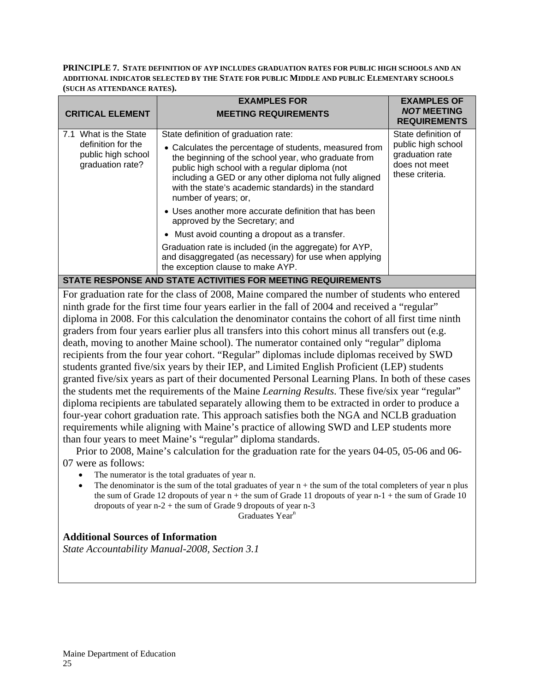#### **PRINCIPLE 7. STATE DEFINITION OF AYP INCLUDES GRADUATION RATES FOR PUBLIC HIGH SCHOOLS AND AN ADDITIONAL INDICATOR SELECTED BY THE STATE FOR PUBLIC MIDDLE AND PUBLIC ELEMENTARY SCHOOLS (SUCH AS ATTENDANCE RATES).**

|                                                                                       | <b>EXAMPLES FOR</b>                                                                                                                                                                                                                                                                                                                                                                                                                                                                                                                                                                                                                                      | <b>EXAMPLES OF</b>                                                                               |  |
|---------------------------------------------------------------------------------------|----------------------------------------------------------------------------------------------------------------------------------------------------------------------------------------------------------------------------------------------------------------------------------------------------------------------------------------------------------------------------------------------------------------------------------------------------------------------------------------------------------------------------------------------------------------------------------------------------------------------------------------------------------|--------------------------------------------------------------------------------------------------|--|
| <b>CRITICAL ELEMENT</b>                                                               | <b>MEETING REQUIREMENTS</b>                                                                                                                                                                                                                                                                                                                                                                                                                                                                                                                                                                                                                              | <b>NOT MEETING</b><br><b>REQUIREMENTS</b>                                                        |  |
| 7.1 What is the State<br>definition for the<br>public high school<br>graduation rate? | State definition of graduation rate:<br>• Calculates the percentage of students, measured from<br>the beginning of the school year, who graduate from<br>public high school with a regular diploma (not<br>including a GED or any other diploma not fully aligned<br>with the state's academic standards) in the standard<br>number of years; or,<br>• Uses another more accurate definition that has been<br>approved by the Secretary; and<br>• Must avoid counting a dropout as a transfer.<br>Graduation rate is included (in the aggregate) for AYP,<br>and disaggregated (as necessary) for use when applying<br>the exception clause to make AYP. | State definition of<br>public high school<br>graduation rate<br>does not meet<br>these criteria. |  |
| STATE RESPONSE AND STATE ACTIVITIES FOR MEETING REQUIREMENTS                          |                                                                                                                                                                                                                                                                                                                                                                                                                                                                                                                                                                                                                                                          |                                                                                                  |  |

For graduation rate for the class of 2008, Maine compared the number of students who entered ninth grade for the first time four years earlier in the fall of 2004 and received a "regular" diploma in 2008. For this calculation the denominator contains the cohort of all first time ninth graders from four years earlier plus all transfers into this cohort minus all transfers out (e.g. death, moving to another Maine school). The numerator contained only "regular" diploma recipients from the four year cohort. "Regular" diplomas include diplomas received by SWD students granted five/six years by their IEP, and Limited English Proficient (LEP) students granted five/six years as part of their documented Personal Learning Plans. In both of these cases the students met the requirements of the Maine *Learning Results*. These five/six year "regular" diploma recipients are tabulated separately allowing them to be extracted in order to produce a four-year cohort graduation rate. This approach satisfies both the NGA and NCLB graduation requirements while aligning with Maine's practice of allowing SWD and LEP students more than four years to meet Maine's "regular" diploma standards.

 Prior to 2008, Maine's calculation for the graduation rate for the years 04-05, 05-06 and 06- 07 were as follows:

- The numerator is the total graduates of year n.
- The denominator is the sum of the total graduates of year  $n +$  the sum of the total completers of year n plus the sum of Grade 12 dropouts of year  $n +$  the sum of Grade 11 dropouts of year  $n-1$  + the sum of Grade 10 dropouts of year n-2 + the sum of Grade 9 dropouts of year n-3

Graduates Year<sup>n</sup>

## **Additional Sources of Information**

*State Accountability Manual-2008, Section 3.1*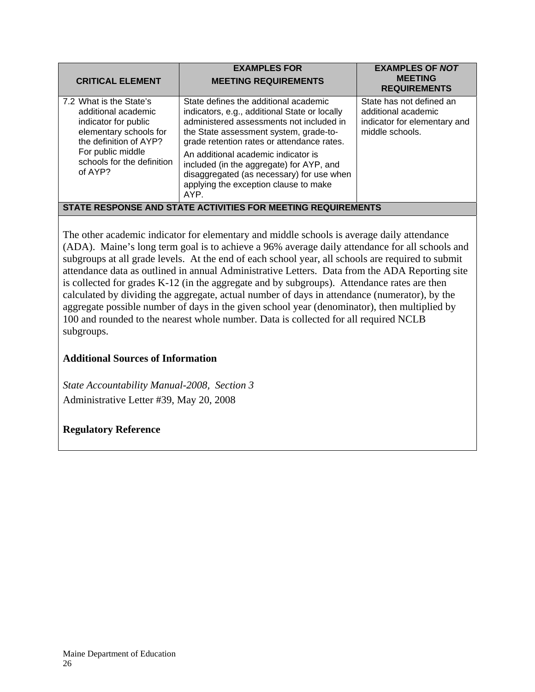| <b>CRITICAL ELEMENT</b>                                                                                                                                                                  | <b>EXAMPLES FOR</b><br><b>MEETING REQUIREMENTS</b>                                                                                                                                                                                                                                                                                                                                                          | <b>EXAMPLES OF NOT</b><br><b>MEETING</b><br><b>REQUIREMENTS</b>                                    |
|------------------------------------------------------------------------------------------------------------------------------------------------------------------------------------------|-------------------------------------------------------------------------------------------------------------------------------------------------------------------------------------------------------------------------------------------------------------------------------------------------------------------------------------------------------------------------------------------------------------|----------------------------------------------------------------------------------------------------|
| 7.2 What is the State's<br>additional academic<br>indicator for public<br>elementary schools for<br>the definition of AYP?<br>For public middle<br>schools for the definition<br>of AYP? | State defines the additional academic<br>indicators, e.g., additional State or locally<br>administered assessments not included in<br>the State assessment system, grade-to-<br>grade retention rates or attendance rates.<br>An additional academic indicator is<br>included (in the aggregate) for AYP, and<br>disaggregated (as necessary) for use when<br>applying the exception clause to make<br>AYP. | State has not defined an<br>additional academic<br>indicator for elementary and<br>middle schools. |
| STATE RESPONSE AND STATE ACTIVITIES FOR MEETING REQUIREMENTS                                                                                                                             |                                                                                                                                                                                                                                                                                                                                                                                                             |                                                                                                    |

The other academic indicator for elementary and middle schools is average daily attendance (ADA). Maine's long term goal is to achieve a 96% average daily attendance for all schools and subgroups at all grade levels. At the end of each school year, all schools are required to submit attendance data as outlined in annual Administrative Letters. Data from the ADA Reporting site is collected for grades K-12 (in the aggregate and by subgroups). Attendance rates are then calculated by dividing the aggregate, actual number of days in attendance (numerator), by the aggregate possible number of days in the given school year (denominator), then multiplied by 100 and rounded to the nearest whole number. Data is collected for all required NCLB subgroups.

# **Additional Sources of Information**

*State Accountability Manual-2008, Section 3* Administrative Letter #39, May 20, 2008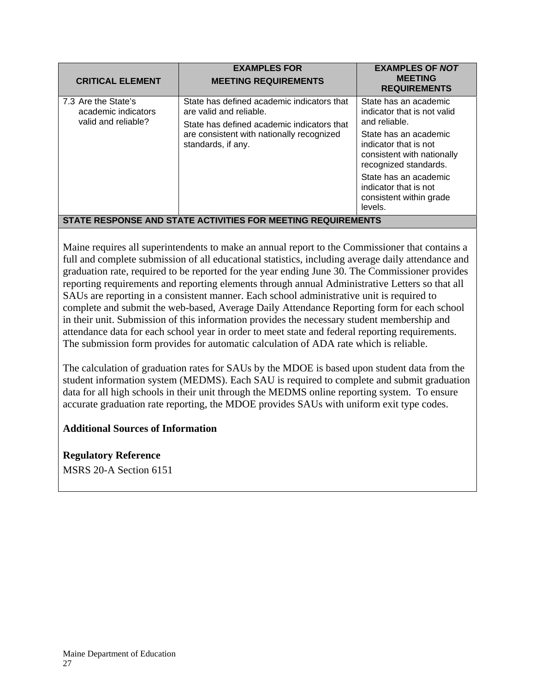| <b>CRITICAL ELEMENT</b>                                           | <b>EXAMPLES FOR</b><br><b>MEETING REQUIREMENTS</b>                                                                                                                                     | <b>EXAMPLES OF NOT</b><br><b>MEETING</b><br><b>REQUIREMENTS</b>                                       |  |
|-------------------------------------------------------------------|----------------------------------------------------------------------------------------------------------------------------------------------------------------------------------------|-------------------------------------------------------------------------------------------------------|--|
| 7.3 Are the State's<br>academic indicators<br>valid and reliable? | State has defined academic indicators that<br>are valid and reliable.<br>State has defined academic indicators that<br>are consistent with nationally recognized<br>standards, if any. | State has an academic<br>indicator that is not valid<br>and reliable.                                 |  |
|                                                                   |                                                                                                                                                                                        | State has an academic<br>indicator that is not<br>consistent with nationally<br>recognized standards. |  |
|                                                                   |                                                                                                                                                                                        | State has an academic<br>indicator that is not<br>consistent within grade<br>levels.                  |  |
| STATE RESPONSE AND STATE ACTIVITIES FOR MEETING REQUIREMENTS      |                                                                                                                                                                                        |                                                                                                       |  |

Maine requires all superintendents to make an annual report to the Commissioner that contains a full and complete submission of all educational statistics, including average daily attendance and graduation rate, required to be reported for the year ending June 30. The Commissioner provides reporting requirements and reporting elements through annual Administrative Letters so that all SAUs are reporting in a consistent manner. Each school administrative unit is required to complete and submit the web-based, Average Daily Attendance Reporting form for each school in their unit. Submission of this information provides the necessary student membership and attendance data for each school year in order to meet state and federal reporting requirements. The submission form provides for automatic calculation of ADA rate which is reliable.

The calculation of graduation rates for SAUs by the MDOE is based upon student data from the student information system (MEDMS). Each SAU is required to complete and submit graduation data for all high schools in their unit through the MEDMS online reporting system. To ensure accurate graduation rate reporting, the MDOE provides SAUs with uniform exit type codes.

# **Additional Sources of Information**

**Regulatory Reference**  MSRS 20-A Section 6151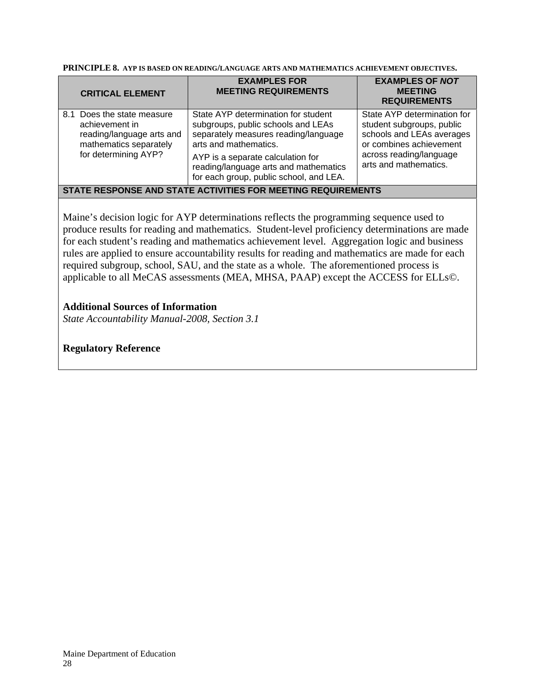**PRINCIPLE 8. AYP IS BASED ON READING/LANGUAGE ARTS AND MATHEMATICS ACHIEVEMENT OBJECTIVES.** 

| <b>CRITICAL ELEMENT</b>                                                                                                     | <b>EXAMPLES FOR</b><br><b>MEETING REQUIREMENTS</b>                                                                                                                                                                                                                  | <b>EXAMPLES OF NOT</b><br><b>MEETING</b><br><b>REQUIREMENTS</b>                                                                                                      |
|-----------------------------------------------------------------------------------------------------------------------------|---------------------------------------------------------------------------------------------------------------------------------------------------------------------------------------------------------------------------------------------------------------------|----------------------------------------------------------------------------------------------------------------------------------------------------------------------|
| 8.1 Does the state measure<br>achievement in<br>reading/language arts and<br>mathematics separately<br>for determining AYP? | State AYP determination for student<br>subgroups, public schools and LEAs<br>separately measures reading/language<br>arts and mathematics.<br>AYP is a separate calculation for<br>reading/language arts and mathematics<br>for each group, public school, and LEA. | State AYP determination for<br>student subgroups, public<br>schools and LEAs averages<br>or combines achievement<br>across reading/language<br>arts and mathematics. |
| STATE RESPONSE AND STATE ACTIVITIES FOR MEETING REQUIREMENTS                                                                |                                                                                                                                                                                                                                                                     |                                                                                                                                                                      |

Maine's decision logic for AYP determinations reflects the programming sequence used to produce results for reading and mathematics. Student-level proficiency determinations are made for each student's reading and mathematics achievement level. Aggregation logic and business rules are applied to ensure accountability results for reading and mathematics are made for each required subgroup, school, SAU, and the state as a whole. The aforementioned process is applicable to all MeCAS assessments (MEA, MHSA, PAAP) except the ACCESS for ELLs©.

## **Additional Sources of Information**

*State Accountability Manual-2008, Section 3.1*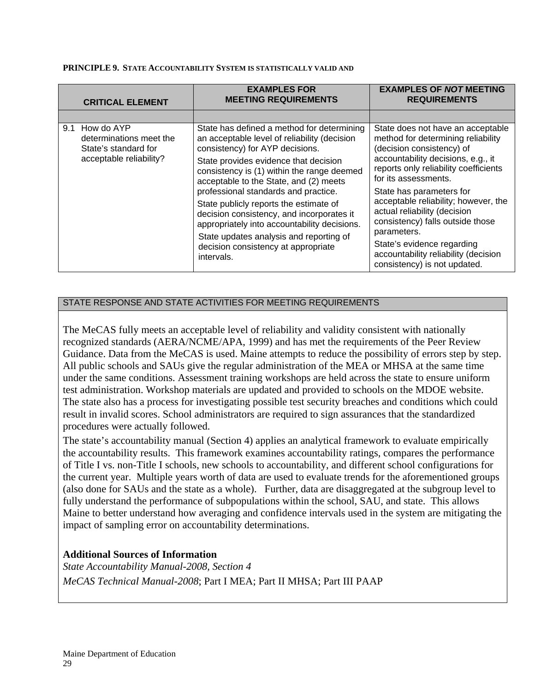#### **PRINCIPLE 9. STATE ACCOUNTABILITY SYSTEM IS STATISTICALLY VALID AND**

| <b>CRITICAL ELEMENT</b>                                                                      | <b>EXAMPLES FOR</b><br><b>MEETING REQUIREMENTS</b>                                                                                                                                                                                                                                                                                                                                                                                                                                                                                            | <b>EXAMPLES OF NOT MEETING</b><br><b>REQUIREMENTS</b>                                                                                                                                                                                                                                                                                                                                                                                                                    |
|----------------------------------------------------------------------------------------------|-----------------------------------------------------------------------------------------------------------------------------------------------------------------------------------------------------------------------------------------------------------------------------------------------------------------------------------------------------------------------------------------------------------------------------------------------------------------------------------------------------------------------------------------------|--------------------------------------------------------------------------------------------------------------------------------------------------------------------------------------------------------------------------------------------------------------------------------------------------------------------------------------------------------------------------------------------------------------------------------------------------------------------------|
|                                                                                              |                                                                                                                                                                                                                                                                                                                                                                                                                                                                                                                                               |                                                                                                                                                                                                                                                                                                                                                                                                                                                                          |
| 9.1 How do AYP<br>determinations meet the<br>State's standard for<br>acceptable reliability? | State has defined a method for determining<br>an acceptable level of reliability (decision<br>consistency) for AYP decisions.<br>State provides evidence that decision<br>consistency is (1) within the range deemed<br>acceptable to the State, and (2) meets<br>professional standards and practice.<br>State publicly reports the estimate of<br>decision consistency, and incorporates it<br>appropriately into accountability decisions.<br>State updates analysis and reporting of<br>decision consistency at appropriate<br>intervals. | State does not have an acceptable<br>method for determining reliability<br>(decision consistency) of<br>accountability decisions, e.g., it<br>reports only reliability coefficients<br>for its assessments.<br>State has parameters for<br>acceptable reliability; however, the<br>actual reliability (decision<br>consistency) falls outside those<br>parameters.<br>State's evidence regarding<br>accountability reliability (decision<br>consistency) is not updated. |

# STATE RESPONSE AND STATE ACTIVITIES FOR MEETING REQUIREMENTS

The MeCAS fully meets an acceptable level of reliability and validity consistent with nationally recognized standards (AERA/NCME/APA, 1999) and has met the requirements of the Peer Review Guidance. Data from the MeCAS is used. Maine attempts to reduce the possibility of errors step by step. All public schools and SAUs give the regular administration of the MEA or MHSA at the same time under the same conditions. Assessment training workshops are held across the state to ensure uniform test administration. Workshop materials are updated and provided to schools on the MDOE website. The state also has a process for investigating possible test security breaches and conditions which could result in invalid scores. School administrators are required to sign assurances that the standardized procedures were actually followed.

The state's accountability manual (Section 4) applies an analytical framework to evaluate empirically the accountability results. This framework examines accountability ratings, compares the performance of Title I vs. non-Title I schools, new schools to accountability, and different school configurations for the current year. Multiple years worth of data are used to evaluate trends for the aforementioned groups (also done for SAUs and the state as a whole). Further, data are disaggregated at the subgroup level to fully understand the performance of subpopulations within the school, SAU, and state. This allows Maine to better understand how averaging and confidence intervals used in the system are mitigating the impact of sampling error on accountability determinations.

# **Additional Sources of Information**

*State Accountability Manual-2008, Section 4 MeCAS Technical Manual-2008*; Part I MEA; Part II MHSA; Part III PAAP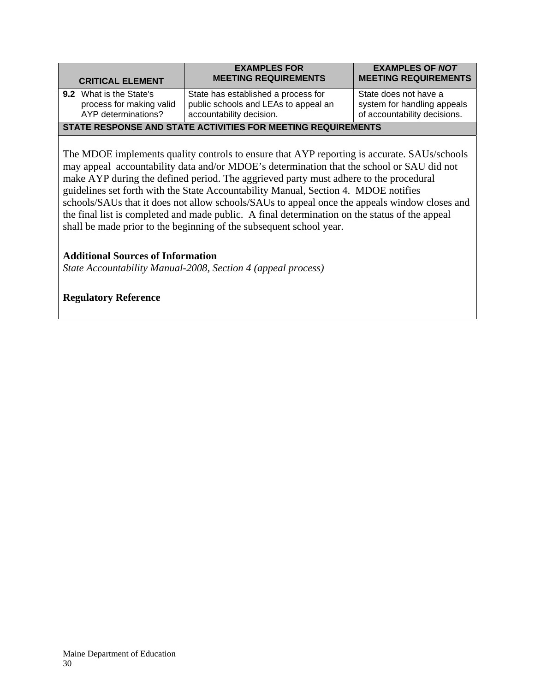|                                                              | <b>CRITICAL ELEMENT</b>                                                           | <b>EXAMPLES FOR</b><br><b>MEETING REQUIREMENTS</b>                                                      | <b>EXAMPLES OF NOT</b><br><b>MEETING REQUIREMENTS</b>                                |
|--------------------------------------------------------------|-----------------------------------------------------------------------------------|---------------------------------------------------------------------------------------------------------|--------------------------------------------------------------------------------------|
|                                                              | <b>9.2</b> What is the State's<br>process for making valid<br>AYP determinations? | State has established a process for<br>public schools and LEAs to appeal an<br>accountability decision. | State does not have a<br>system for handling appeals<br>of accountability decisions. |
| STATE RESPONSE AND STATE ACTIVITIES FOR MEETING REQUIREMENTS |                                                                                   |                                                                                                         |                                                                                      |

The MDOE implements quality controls to ensure that AYP reporting is accurate. SAUs/schools may appeal accountability data and/or MDOE's determination that the school or SAU did not make AYP during the defined period. The aggrieved party must adhere to the procedural guidelines set forth with the State Accountability Manual, Section 4. MDOE notifies schools/SAUs that it does not allow schools/SAUs to appeal once the appeals window closes and the final list is completed and made public. A final determination on the status of the appeal shall be made prior to the beginning of the subsequent school year.

## **Additional Sources of Information**

*State Accountability Manual-2008, Section 4 (appeal process)*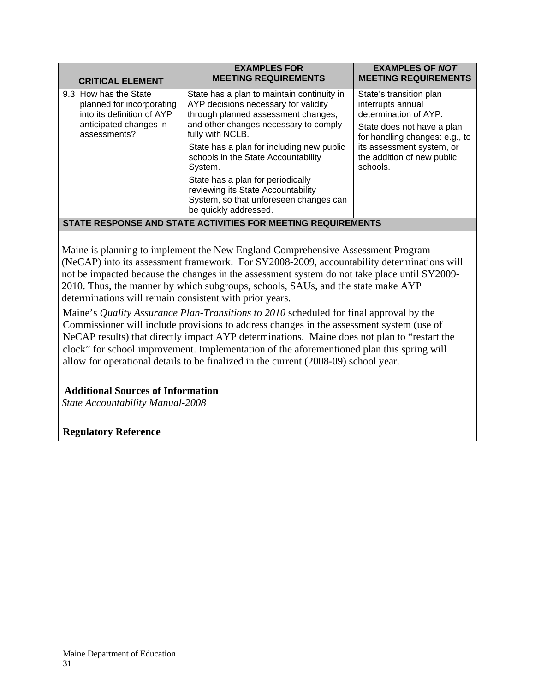| <b>CRITICAL ELEMENT</b>                                                                                                    | <b>EXAMPLES FOR</b><br><b>MEETING REQUIREMENTS</b>                                                                                                                                     | <b>EXAMPLES OF NOT</b><br><b>MEETING REQUIREMENTS</b>                                                                                                                                                        |  |
|----------------------------------------------------------------------------------------------------------------------------|----------------------------------------------------------------------------------------------------------------------------------------------------------------------------------------|--------------------------------------------------------------------------------------------------------------------------------------------------------------------------------------------------------------|--|
| 9.3 How has the State<br>planned for incorporating<br>into its definition of AYP<br>anticipated changes in<br>assessments? | State has a plan to maintain continuity in<br>AYP decisions necessary for validity<br>through planned assessment changes,<br>and other changes necessary to comply<br>fully with NCLB. | State's transition plan<br>interrupts annual<br>determination of AYP.<br>State does not have a plan<br>for handling changes: e.g., to<br>its assessment system, or<br>the addition of new public<br>schools. |  |
|                                                                                                                            | State has a plan for including new public<br>schools in the State Accountability<br>System.                                                                                            |                                                                                                                                                                                                              |  |
|                                                                                                                            | State has a plan for periodically<br>reviewing its State Accountability<br>System, so that unforeseen changes can<br>be quickly addressed.                                             |                                                                                                                                                                                                              |  |
| STATE RESPONSE AND STATE ACTIVITIES FOR MEETING REQUIREMENTS                                                               |                                                                                                                                                                                        |                                                                                                                                                                                                              |  |

Maine is planning to implement the New England Comprehensive Assessment Program (NeCAP) into its assessment framework. For SY2008-2009, accountability determinations will not be impacted because the changes in the assessment system do not take place until SY2009- 2010. Thus, the manner by which subgroups, schools, SAUs, and the state make AYP determinations will remain consistent with prior years.

Maine's *Quality Assurance Plan-Transitions to 2010* scheduled for final approval by the Commissioner will include provisions to address changes in the assessment system (use of NeCAP results) that directly impact AYP determinations. Maine does not plan to "restart the clock" for school improvement. Implementation of the aforementioned plan this spring will allow for operational details to be finalized in the current (2008-09) school year.

# **Additional Sources of Information**

*State Accountability Manual-2008*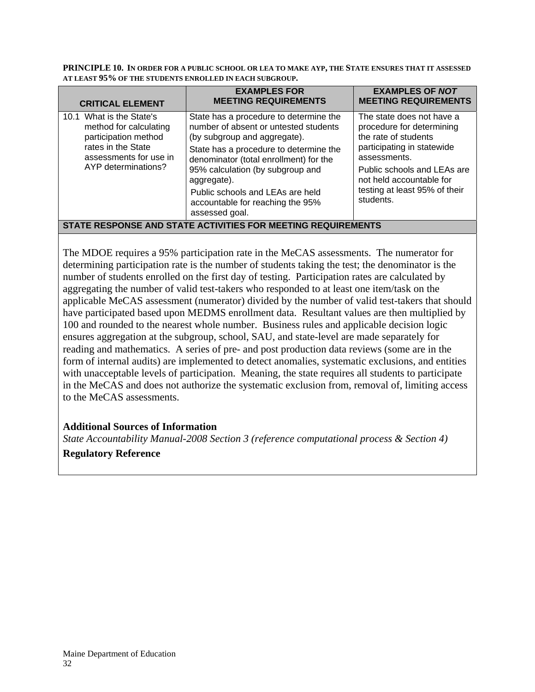**PRINCIPLE 10. IN ORDER FOR A PUBLIC SCHOOL OR LEA TO MAKE AYP, THE STATE ENSURES THAT IT ASSESSED AT LEAST 95% OF THE STUDENTS ENROLLED IN EACH SUBGROUP.** 

| <b>CRITICAL ELEMENT</b>                                                                                                                           | <b>EXAMPLES FOR</b><br><b>MEETING REQUIREMENTS</b>                                                                                                                                                                                                                                                                                               | <b>EXAMPLES OF NOT</b><br><b>MEETING REQUIREMENTS</b>                                                                                                                                                                                 |
|---------------------------------------------------------------------------------------------------------------------------------------------------|--------------------------------------------------------------------------------------------------------------------------------------------------------------------------------------------------------------------------------------------------------------------------------------------------------------------------------------------------|---------------------------------------------------------------------------------------------------------------------------------------------------------------------------------------------------------------------------------------|
| 10.1 What is the State's<br>method for calculating<br>participation method<br>rates in the State<br>assessments for use in<br>AYP determinations? | State has a procedure to determine the<br>number of absent or untested students<br>(by subgroup and aggregate).<br>State has a procedure to determine the<br>denominator (total enrollment) for the<br>95% calculation (by subgroup and<br>aggregate).<br>Public schools and LEAs are held<br>accountable for reaching the 95%<br>assessed goal. | The state does not have a<br>procedure for determining<br>the rate of students<br>participating in statewide<br>assessments.<br>Public schools and LEAs are<br>not held accountable for<br>testing at least 95% of their<br>students. |
| STATE RESPONSE AND STATE ACTIVITIES FOR MEETING REQUIREMENTS                                                                                      |                                                                                                                                                                                                                                                                                                                                                  |                                                                                                                                                                                                                                       |

The MDOE requires a 95% participation rate in the MeCAS assessments. The numerator for determining participation rate is the number of students taking the test; the denominator is the number of students enrolled on the first day of testing. Participation rates are calculated by aggregating the number of valid test-takers who responded to at least one item/task on the applicable MeCAS assessment (numerator) divided by the number of valid test-takers that should have participated based upon MEDMS enrollment data. Resultant values are then multiplied by 100 and rounded to the nearest whole number. Business rules and applicable decision logic ensures aggregation at the subgroup, school, SAU, and state-level are made separately for reading and mathematics. A series of pre- and post production data reviews (some are in the form of internal audits) are implemented to detect anomalies, systematic exclusions, and entities with unacceptable levels of participation. Meaning, the state requires all students to participate in the MeCAS and does not authorize the systematic exclusion from, removal of, limiting access to the MeCAS assessments.

# **Additional Sources of Information**

*State Accountability Manual-2008 Section 3 (reference computational process & Section 4)*